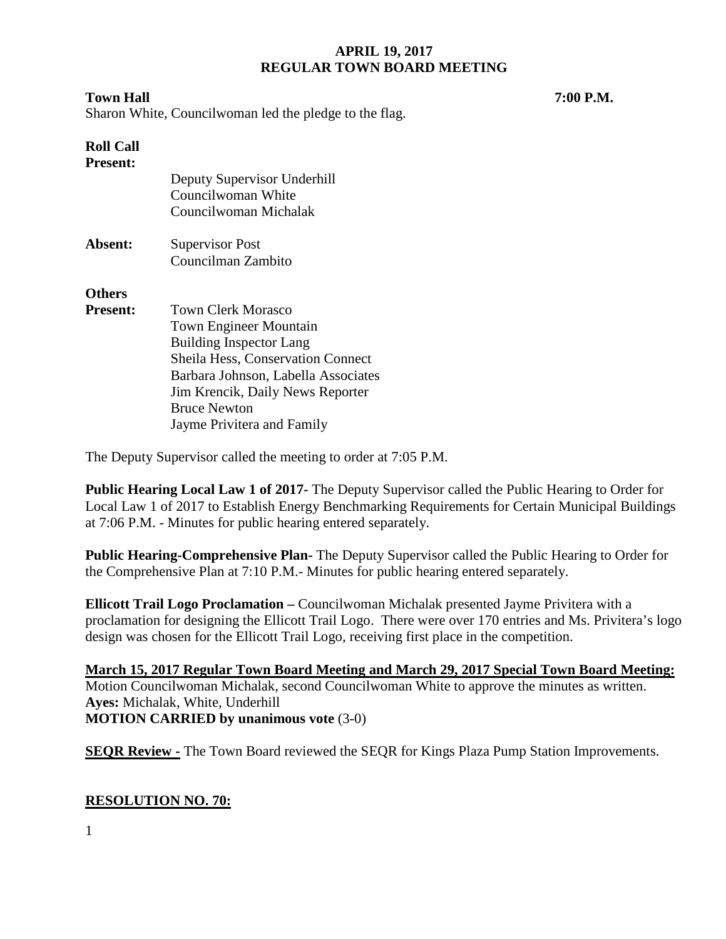### **Town Hall 7:00 P.M.**

Sharon White, Councilwoman led the pledge to the flag.

# **Roll Call**

**Present:**

|                 | Deputy Supervisor Underhill<br>Councilwoman White |  |
|-----------------|---------------------------------------------------|--|
|                 |                                                   |  |
|                 | Councilwoman Michalak                             |  |
| Absent:         | <b>Supervisor Post</b>                            |  |
|                 | Councilman Zambito                                |  |
| <b>Others</b>   |                                                   |  |
| <b>Present:</b> | <b>Town Clerk Morasco</b>                         |  |
|                 | <b>Town Engineer Mountain</b>                     |  |
|                 | <b>Building Inspector Lang</b>                    |  |
|                 | <b>Sheila Hess, Conservation Connect</b>          |  |
|                 | Barbara Johnson, Labella Associates               |  |
|                 | Jim Krencik, Daily News Reporter                  |  |
|                 | <b>Bruce Newton</b>                               |  |
|                 | Jayme Privitera and Family                        |  |

The Deputy Supervisor called the meeting to order at 7:05 P.M.

**Public Hearing Local Law 1 of 2017-** The Deputy Supervisor called the Public Hearing to Order for Local Law 1 of 2017 to Establish Energy Benchmarking Requirements for Certain Municipal Buildings at 7:06 P.M. - Minutes for public hearing entered separately.

**Public Hearing-Comprehensive Plan-** The Deputy Supervisor called the Public Hearing to Order for the Comprehensive Plan at 7:10 P.M.- Minutes for public hearing entered separately.

**Ellicott Trail Logo Proclamation –** Councilwoman Michalak presented Jayme Privitera with a proclamation for designing the Ellicott Trail Logo. There were over 170 entries and Ms. Privitera's logo design was chosen for the Ellicott Trail Logo, receiving first place in the competition.

**March 15, 2017 Regular Town Board Meeting and March 29, 2017 Special Town Board Meeting:**  Motion Councilwoman Michalak, second Councilwoman White to approve the minutes as written. **Ayes:** Michalak, White, Underhill **MOTION CARRIED by unanimous vote** (3-0)

**SEQR Review -** The Town Board reviewed the SEQR for Kings Plaza Pump Station Improvements.

## **RESOLUTION NO. 70:**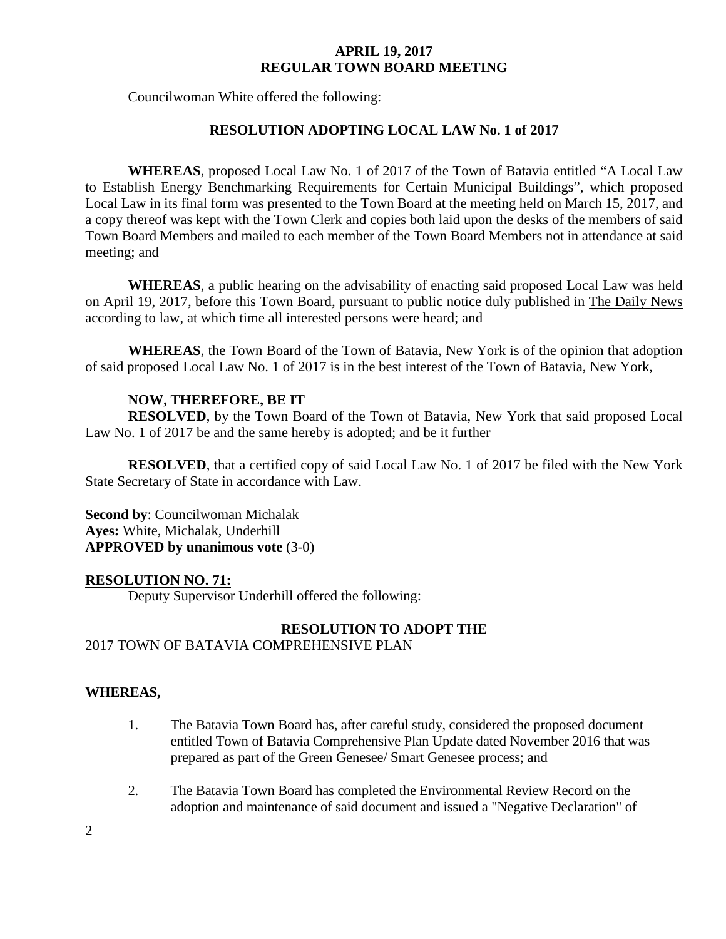Councilwoman White offered the following:

### **RESOLUTION ADOPTING LOCAL LAW No. 1 of 2017**

**WHEREAS**, proposed Local Law No. 1 of 2017 of the Town of Batavia entitled "A Local Law to Establish Energy Benchmarking Requirements for Certain Municipal Buildings", which proposed Local Law in its final form was presented to the Town Board at the meeting held on March 15, 2017, and a copy thereof was kept with the Town Clerk and copies both laid upon the desks of the members of said Town Board Members and mailed to each member of the Town Board Members not in attendance at said meeting; and

**WHEREAS**, a public hearing on the advisability of enacting said proposed Local Law was held on April 19, 2017, before this Town Board, pursuant to public notice duly published in The Daily News according to law, at which time all interested persons were heard; and

**WHEREAS**, the Town Board of the Town of Batavia, New York is of the opinion that adoption of said proposed Local Law No. 1 of 2017 is in the best interest of the Town of Batavia, New York,

### **NOW, THEREFORE, BE IT**

**RESOLVED**, by the Town Board of the Town of Batavia, New York that said proposed Local Law No. 1 of 2017 be and the same hereby is adopted; and be it further

**RESOLVED**, that a certified copy of said Local Law No. 1 of 2017 be filed with the New York State Secretary of State in accordance with Law.

**Second by**: Councilwoman Michalak **Ayes:** White, Michalak, Underhill **APPROVED by unanimous vote** (3-0)

### **RESOLUTION NO. 71:**

Deputy Supervisor Underhill offered the following:

### **RESOLUTION TO ADOPT THE**  2017 TOWN OF BATAVIA COMPREHENSIVE PLAN

### **WHEREAS,**

- 1. The Batavia Town Board has, after careful study, considered the proposed document entitled Town of Batavia Comprehensive Plan Update dated November 2016 that was prepared as part of the Green Genesee/ Smart Genesee process; and
- 2. The Batavia Town Board has completed the Environmental Review Record on the adoption and maintenance of said document and issued a "Negative Declaration" of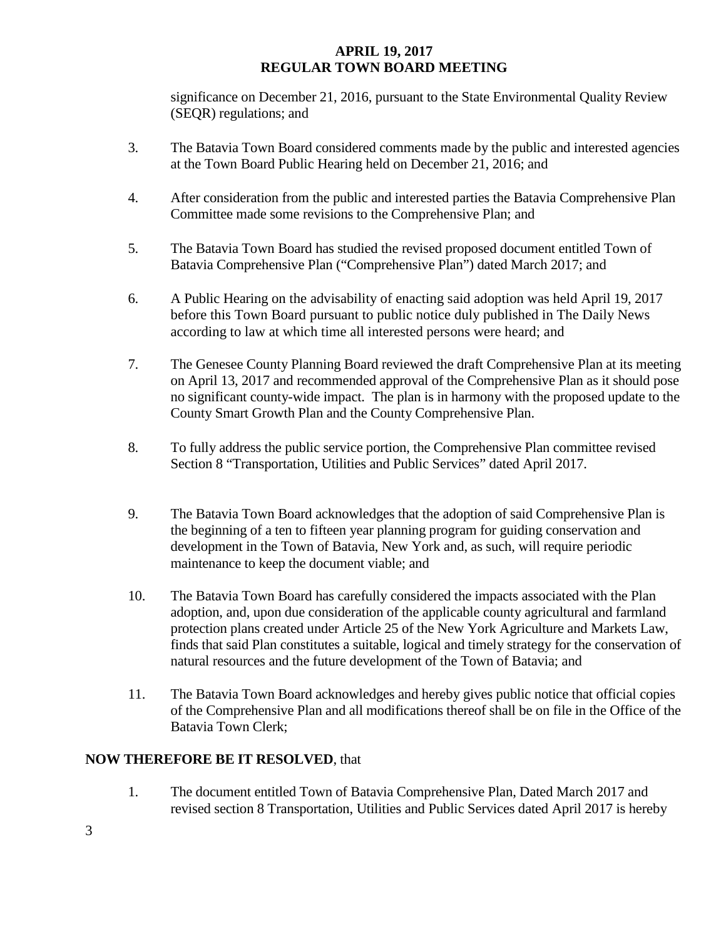significance on December 21, 2016, pursuant to the State Environmental Quality Review (SEQR) regulations; and

- 3. The Batavia Town Board considered comments made by the public and interested agencies at the Town Board Public Hearing held on December 21, 2016; and
- 4. After consideration from the public and interested parties the Batavia Comprehensive Plan Committee made some revisions to the Comprehensive Plan; and
- 5. The Batavia Town Board has studied the revised proposed document entitled Town of Batavia Comprehensive Plan ("Comprehensive Plan") dated March 2017; and
- 6. A Public Hearing on the advisability of enacting said adoption was held April 19, 2017 before this Town Board pursuant to public notice duly published in The Daily News according to law at which time all interested persons were heard; and
- 7. The Genesee County Planning Board reviewed the draft Comprehensive Plan at its meeting on April 13, 2017 and recommended approval of the Comprehensive Plan as it should pose no significant county-wide impact. The plan is in harmony with the proposed update to the County Smart Growth Plan and the County Comprehensive Plan.
- 8. To fully address the public service portion, the Comprehensive Plan committee revised Section 8 "Transportation, Utilities and Public Services" dated April 2017.
- 9. The Batavia Town Board acknowledges that the adoption of said Comprehensive Plan is the beginning of a ten to fifteen year planning program for guiding conservation and development in the Town of Batavia, New York and, as such, will require periodic maintenance to keep the document viable; and
- 10. The Batavia Town Board has carefully considered the impacts associated with the Plan adoption, and, upon due consideration of the applicable county agricultural and farmland protection plans created under Article 25 of the New York Agriculture and Markets Law, finds that said Plan constitutes a suitable, logical and timely strategy for the conservation of natural resources and the future development of the Town of Batavia; and
- 11. The Batavia Town Board acknowledges and hereby gives public notice that official copies of the Comprehensive Plan and all modifications thereof shall be on file in the Office of the Batavia Town Clerk;

## **NOW THEREFORE BE IT RESOLVED**, that

1. The document entitled Town of Batavia Comprehensive Plan, Dated March 2017 and revised section 8 Transportation, Utilities and Public Services dated April 2017 is hereby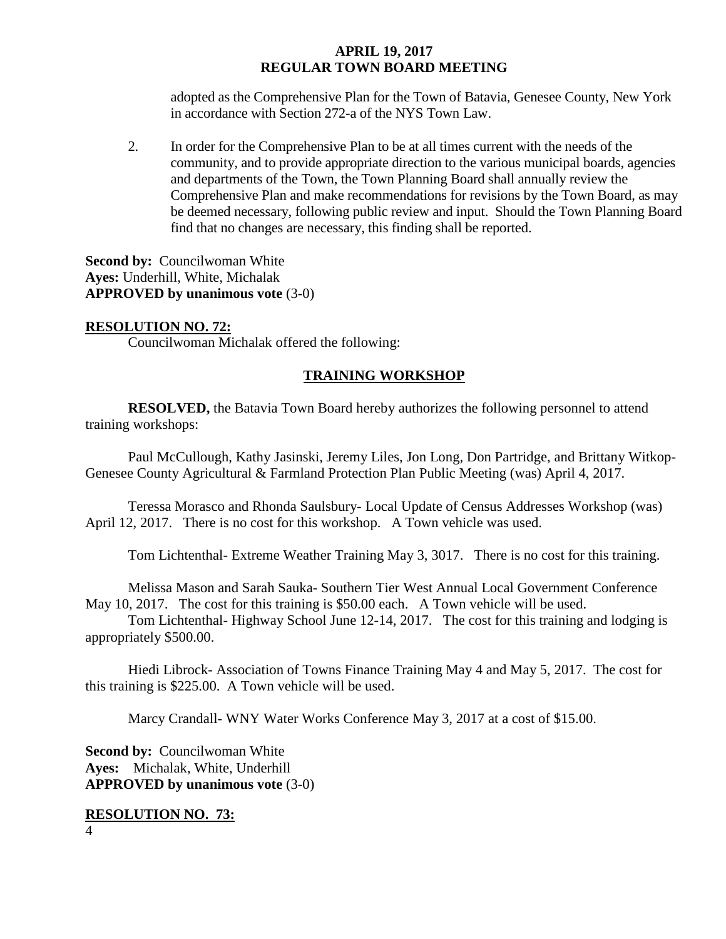adopted as the Comprehensive Plan for the Town of Batavia, Genesee County, New York in accordance with Section 272-a of the NYS Town Law.

2. In order for the Comprehensive Plan to be at all times current with the needs of the community, and to provide appropriate direction to the various municipal boards, agencies and departments of the Town, the Town Planning Board shall annually review the Comprehensive Plan and make recommendations for revisions by the Town Board, as may be deemed necessary, following public review and input. Should the Town Planning Board find that no changes are necessary, this finding shall be reported.

**Second by: Councilwoman White Ayes:** Underhill, White, Michalak **APPROVED by unanimous vote** (3-0)

#### **RESOLUTION NO. 72:**

Councilwoman Michalak offered the following:

### **TRAINING WORKSHOP**

**RESOLVED,** the Batavia Town Board hereby authorizes the following personnel to attend training workshops:

Paul McCullough, Kathy Jasinski, Jeremy Liles, Jon Long, Don Partridge, and Brittany Witkop-Genesee County Agricultural & Farmland Protection Plan Public Meeting (was) April 4, 2017.

Teressa Morasco and Rhonda Saulsbury- Local Update of Census Addresses Workshop (was) April 12, 2017. There is no cost for this workshop. A Town vehicle was used.

Tom Lichtenthal- Extreme Weather Training May 3, 3017. There is no cost for this training.

Melissa Mason and Sarah Sauka- Southern Tier West Annual Local Government Conference May 10, 2017. The cost for this training is \$50.00 each. A Town vehicle will be used.

Tom Lichtenthal- Highway School June 12-14, 2017. The cost for this training and lodging is appropriately \$500.00.

Hiedi Librock- Association of Towns Finance Training May 4 and May 5, 2017. The cost for this training is \$225.00. A Town vehicle will be used.

Marcy Crandall- WNY Water Works Conference May 3, 2017 at a cost of \$15.00.

**Second by: Councilwoman White Ayes:** Michalak, White, Underhill **APPROVED by unanimous vote** (3-0)

#### 4 **RESOLUTION NO. 73:**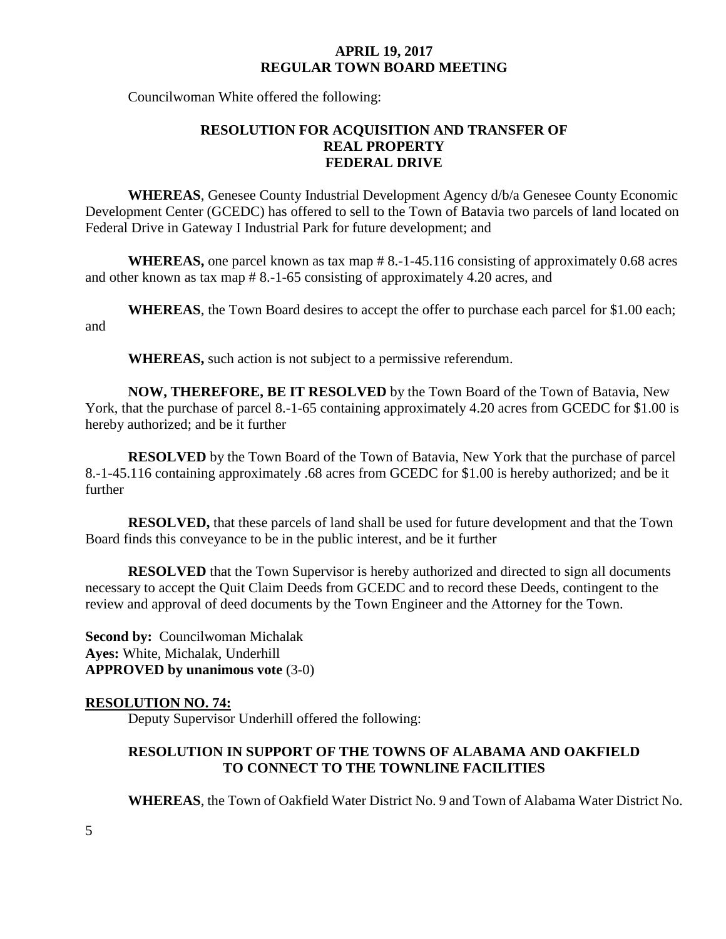Councilwoman White offered the following:

## **RESOLUTION FOR ACQUISITION AND TRANSFER OF REAL PROPERTY FEDERAL DRIVE**

**WHEREAS**, Genesee County Industrial Development Agency d/b/a Genesee County Economic Development Center (GCEDC) has offered to sell to the Town of Batavia two parcels of land located on Federal Drive in Gateway I Industrial Park for future development; and

**WHEREAS,** one parcel known as tax map # 8.-1-45.116 consisting of approximately 0.68 acres and other known as tax map # 8.-1-65 consisting of approximately 4.20 acres, and

**WHEREAS**, the Town Board desires to accept the offer to purchase each parcel for \$1.00 each; and

**WHEREAS,** such action is not subject to a permissive referendum.

**NOW, THEREFORE, BE IT RESOLVED** by the Town Board of the Town of Batavia, New York, that the purchase of parcel 8.-1-65 containing approximately 4.20 acres from GCEDC for \$1.00 is hereby authorized; and be it further

**RESOLVED** by the Town Board of the Town of Batavia, New York that the purchase of parcel 8.-1-45.116 containing approximately .68 acres from GCEDC for \$1.00 is hereby authorized; and be it further

**RESOLVED,** that these parcels of land shall be used for future development and that the Town Board finds this conveyance to be in the public interest, and be it further

**RESOLVED** that the Town Supervisor is hereby authorized and directed to sign all documents necessary to accept the Quit Claim Deeds from GCEDC and to record these Deeds, contingent to the review and approval of deed documents by the Town Engineer and the Attorney for the Town.

**Second by: Councilwoman Michalak Ayes:** White, Michalak, Underhill **APPROVED by unanimous vote** (3-0)

### **RESOLUTION NO. 74:**

Deputy Supervisor Underhill offered the following:

### **RESOLUTION IN SUPPORT OF THE TOWNS OF ALABAMA AND OAKFIELD TO CONNECT TO THE TOWNLINE FACILITIES**

**WHEREAS**, the Town of Oakfield Water District No. 9 and Town of Alabama Water District No.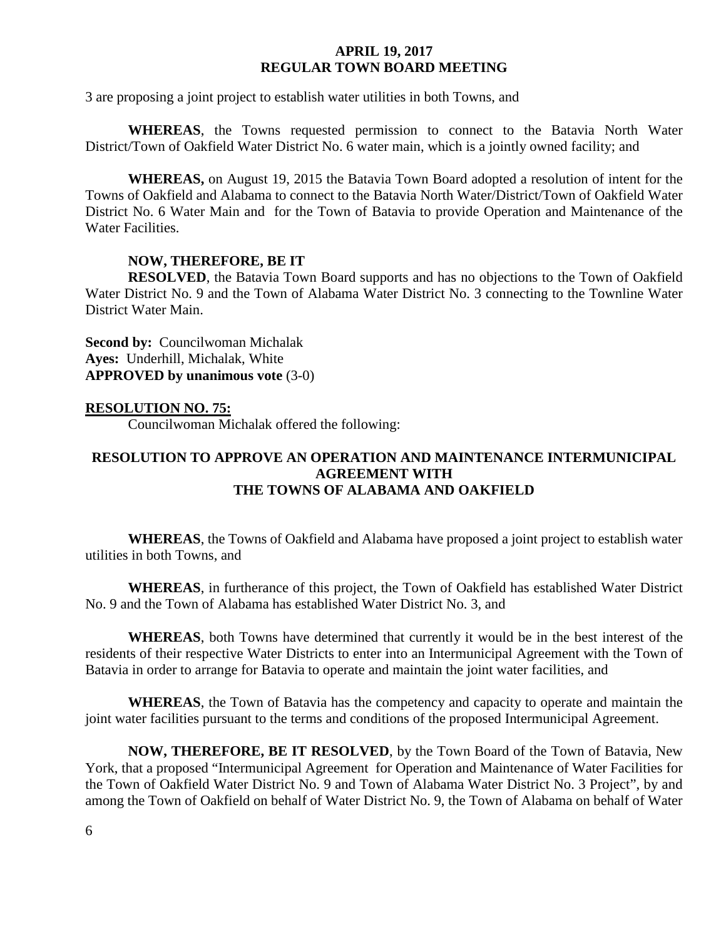3 are proposing a joint project to establish water utilities in both Towns, and

**WHEREAS**, the Towns requested permission to connect to the Batavia North Water District/Town of Oakfield Water District No. 6 water main, which is a jointly owned facility; and

**WHEREAS,** on August 19, 2015 the Batavia Town Board adopted a resolution of intent for the Towns of Oakfield and Alabama to connect to the Batavia North Water/District/Town of Oakfield Water District No. 6 Water Main and for the Town of Batavia to provide Operation and Maintenance of the Water Facilities.

#### **NOW, THEREFORE, BE IT**

**RESOLVED**, the Batavia Town Board supports and has no objections to the Town of Oakfield Water District No. 9 and the Town of Alabama Water District No. 3 connecting to the Townline Water District Water Main.

**Second by:** Councilwoman Michalak **Ayes:** Underhill, Michalak, White **APPROVED by unanimous vote** (3-0)

#### **RESOLUTION NO. 75:**

Councilwoman Michalak offered the following:

### **RESOLUTION TO APPROVE AN OPERATION AND MAINTENANCE INTERMUNICIPAL AGREEMENT WITH THE TOWNS OF ALABAMA AND OAKFIELD**

**WHEREAS**, the Towns of Oakfield and Alabama have proposed a joint project to establish water utilities in both Towns, and

**WHEREAS**, in furtherance of this project, the Town of Oakfield has established Water District No. 9 and the Town of Alabama has established Water District No. 3, and

**WHEREAS**, both Towns have determined that currently it would be in the best interest of the residents of their respective Water Districts to enter into an Intermunicipal Agreement with the Town of Batavia in order to arrange for Batavia to operate and maintain the joint water facilities, and

**WHEREAS**, the Town of Batavia has the competency and capacity to operate and maintain the joint water facilities pursuant to the terms and conditions of the proposed Intermunicipal Agreement.

**NOW, THEREFORE, BE IT RESOLVED**, by the Town Board of the Town of Batavia, New York, that a proposed "Intermunicipal Agreement for Operation and Maintenance of Water Facilities for the Town of Oakfield Water District No. 9 and Town of Alabama Water District No. 3 Project", by and among the Town of Oakfield on behalf of Water District No. 9, the Town of Alabama on behalf of Water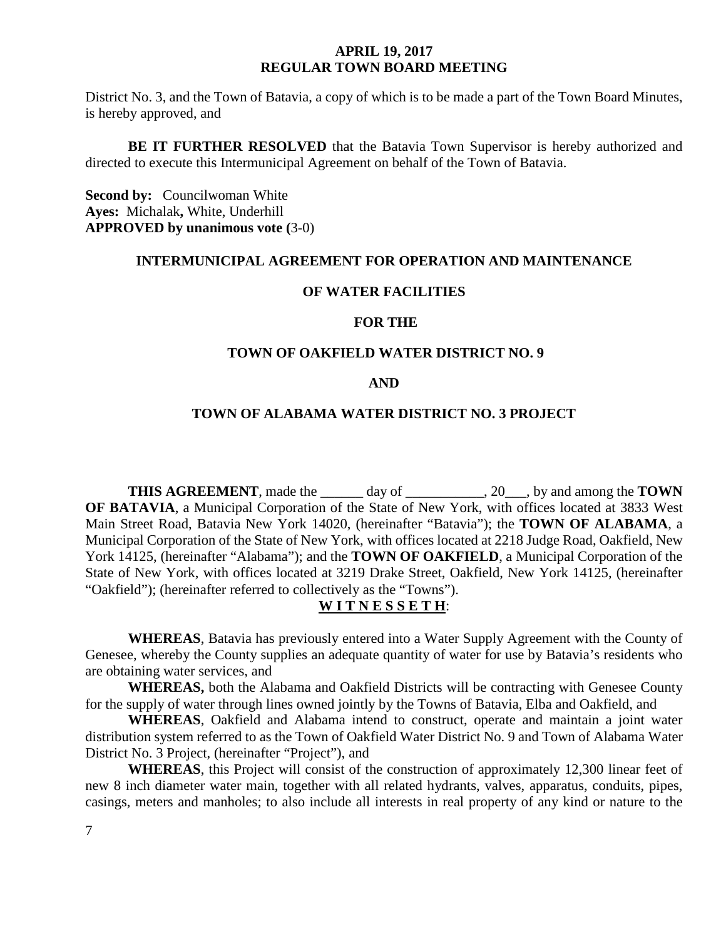District No. 3, and the Town of Batavia, a copy of which is to be made a part of the Town Board Minutes, is hereby approved, and

**BE IT FURTHER RESOLVED** that the Batavia Town Supervisor is hereby authorized and directed to execute this Intermunicipal Agreement on behalf of the Town of Batavia.

**Second by:** Councilwoman White **Ayes:** Michalak**,** White, Underhill **APPROVED by unanimous vote (**3-0)

#### **INTERMUNICIPAL AGREEMENT FOR OPERATION AND MAINTENANCE**

#### **OF WATER FACILITIES**

#### **FOR THE**

#### **TOWN OF OAKFIELD WATER DISTRICT NO. 9**

#### **AND**

### **TOWN OF ALABAMA WATER DISTRICT NO. 3 PROJECT**

**THIS AGREEMENT**, made the \_\_\_\_\_\_ day of \_\_\_\_\_\_\_\_\_\_\_, 20\_\_\_, by and among the **TOWN OF BATAVIA**, a Municipal Corporation of the State of New York, with offices located at 3833 West Main Street Road, Batavia New York 14020, (hereinafter "Batavia"); the **TOWN OF ALABAMA**, a Municipal Corporation of the State of New York, with offices located at 2218 Judge Road, Oakfield, New York 14125, (hereinafter "Alabama"); and the **TOWN OF OAKFIELD**, a Municipal Corporation of the State of New York, with offices located at 3219 Drake Street, Oakfield, New York 14125, (hereinafter "Oakfield"); (hereinafter referred to collectively as the "Towns").

### **W I T N E S S E T H**:

**WHEREAS**, Batavia has previously entered into a Water Supply Agreement with the County of Genesee, whereby the County supplies an adequate quantity of water for use by Batavia's residents who are obtaining water services, and

**WHEREAS,** both the Alabama and Oakfield Districts will be contracting with Genesee County for the supply of water through lines owned jointly by the Towns of Batavia, Elba and Oakfield, and

**WHEREAS**, Oakfield and Alabama intend to construct, operate and maintain a joint water distribution system referred to as the Town of Oakfield Water District No. 9 and Town of Alabama Water District No. 3 Project, (hereinafter "Project"), and

**WHEREAS**, this Project will consist of the construction of approximately 12,300 linear feet of new 8 inch diameter water main, together with all related hydrants, valves, apparatus, conduits, pipes, casings, meters and manholes; to also include all interests in real property of any kind or nature to the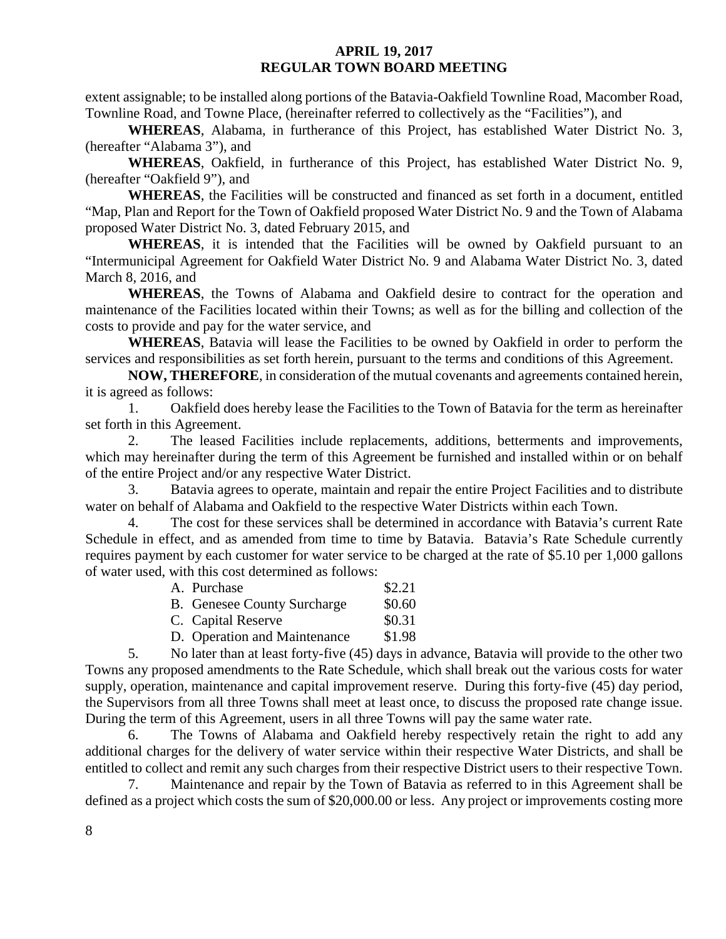extent assignable; to be installed along portions of the Batavia-Oakfield Townline Road, Macomber Road, Townline Road, and Towne Place, (hereinafter referred to collectively as the "Facilities"), and

**WHEREAS**, Alabama, in furtherance of this Project, has established Water District No. 3, (hereafter "Alabama 3"), and

**WHEREAS**, Oakfield, in furtherance of this Project, has established Water District No. 9, (hereafter "Oakfield 9"), and

**WHEREAS**, the Facilities will be constructed and financed as set forth in a document, entitled "Map, Plan and Report for the Town of Oakfield proposed Water District No. 9 and the Town of Alabama proposed Water District No. 3, dated February 2015, and

**WHEREAS**, it is intended that the Facilities will be owned by Oakfield pursuant to an "Intermunicipal Agreement for Oakfield Water District No. 9 and Alabama Water District No. 3, dated March 8, 2016, and

**WHEREAS**, the Towns of Alabama and Oakfield desire to contract for the operation and maintenance of the Facilities located within their Towns; as well as for the billing and collection of the costs to provide and pay for the water service, and

**WHEREAS**, Batavia will lease the Facilities to be owned by Oakfield in order to perform the services and responsibilities as set forth herein, pursuant to the terms and conditions of this Agreement.

**NOW, THEREFORE**, in consideration of the mutual covenants and agreements contained herein, it is agreed as follows:

1. Oakfield does hereby lease the Facilities to the Town of Batavia for the term as hereinafter set forth in this Agreement.

2. The leased Facilities include replacements, additions, betterments and improvements, which may hereinafter during the term of this Agreement be furnished and installed within or on behalf of the entire Project and/or any respective Water District.

3. Batavia agrees to operate, maintain and repair the entire Project Facilities and to distribute water on behalf of Alabama and Oakfield to the respective Water Districts within each Town.

4. The cost for these services shall be determined in accordance with Batavia's current Rate Schedule in effect, and as amended from time to time by Batavia. Batavia's Rate Schedule currently requires payment by each customer for water service to be charged at the rate of \$5.10 per 1,000 gallons of water used, with this cost determined as follows:

| A. Purchase                  | \$2.21 |
|------------------------------|--------|
| B. Genesee County Surcharge  | \$0.60 |
| C. Capital Reserve           | \$0.31 |
| D. Operation and Maintenance | \$1.98 |

5. No later than at least forty-five (45) days in advance, Batavia will provide to the other two Towns any proposed amendments to the Rate Schedule, which shall break out the various costs for water supply, operation, maintenance and capital improvement reserve. During this forty-five (45) day period, the Supervisors from all three Towns shall meet at least once, to discuss the proposed rate change issue. During the term of this Agreement, users in all three Towns will pay the same water rate.

6. The Towns of Alabama and Oakfield hereby respectively retain the right to add any additional charges for the delivery of water service within their respective Water Districts, and shall be entitled to collect and remit any such charges from their respective District users to their respective Town.

7. Maintenance and repair by the Town of Batavia as referred to in this Agreement shall be defined as a project which costs the sum of \$20,000.00 or less. Any project or improvements costing more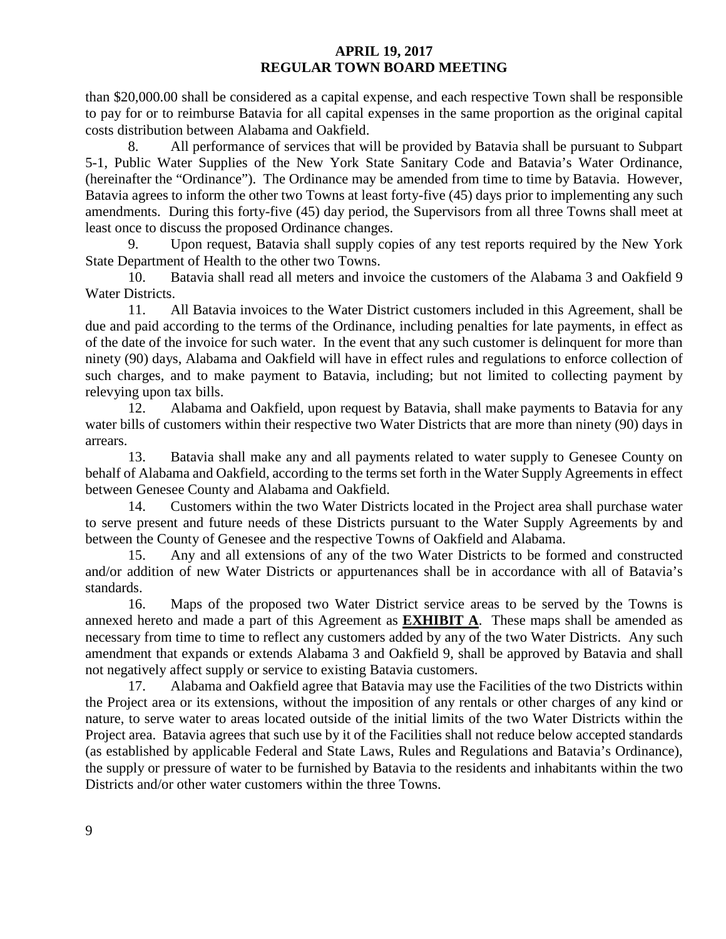than \$20,000.00 shall be considered as a capital expense, and each respective Town shall be responsible to pay for or to reimburse Batavia for all capital expenses in the same proportion as the original capital costs distribution between Alabama and Oakfield.

8. All performance of services that will be provided by Batavia shall be pursuant to Subpart 5-1, Public Water Supplies of the New York State Sanitary Code and Batavia's Water Ordinance, (hereinafter the "Ordinance"). The Ordinance may be amended from time to time by Batavia. However, Batavia agrees to inform the other two Towns at least forty-five (45) days prior to implementing any such amendments. During this forty-five (45) day period, the Supervisors from all three Towns shall meet at least once to discuss the proposed Ordinance changes.

9. Upon request, Batavia shall supply copies of any test reports required by the New York State Department of Health to the other two Towns.

10. Batavia shall read all meters and invoice the customers of the Alabama 3 and Oakfield 9 Water Districts.

11. All Batavia invoices to the Water District customers included in this Agreement, shall be due and paid according to the terms of the Ordinance, including penalties for late payments, in effect as of the date of the invoice for such water. In the event that any such customer is delinquent for more than ninety (90) days, Alabama and Oakfield will have in effect rules and regulations to enforce collection of such charges, and to make payment to Batavia, including; but not limited to collecting payment by relevying upon tax bills.

12. Alabama and Oakfield, upon request by Batavia, shall make payments to Batavia for any water bills of customers within their respective two Water Districts that are more than ninety (90) days in arrears.

13. Batavia shall make any and all payments related to water supply to Genesee County on behalf of Alabama and Oakfield, according to the terms set forth in the Water Supply Agreements in effect between Genesee County and Alabama and Oakfield.

14. Customers within the two Water Districts located in the Project area shall purchase water to serve present and future needs of these Districts pursuant to the Water Supply Agreements by and between the County of Genesee and the respective Towns of Oakfield and Alabama.

15. Any and all extensions of any of the two Water Districts to be formed and constructed and/or addition of new Water Districts or appurtenances shall be in accordance with all of Batavia's standards.

16. Maps of the proposed two Water District service areas to be served by the Towns is annexed hereto and made a part of this Agreement as **EXHIBIT A**. These maps shall be amended as necessary from time to time to reflect any customers added by any of the two Water Districts. Any such amendment that expands or extends Alabama 3 and Oakfield 9, shall be approved by Batavia and shall not negatively affect supply or service to existing Batavia customers.

17. Alabama and Oakfield agree that Batavia may use the Facilities of the two Districts within the Project area or its extensions, without the imposition of any rentals or other charges of any kind or nature, to serve water to areas located outside of the initial limits of the two Water Districts within the Project area. Batavia agrees that such use by it of the Facilities shall not reduce below accepted standards (as established by applicable Federal and State Laws, Rules and Regulations and Batavia's Ordinance), the supply or pressure of water to be furnished by Batavia to the residents and inhabitants within the two Districts and/or other water customers within the three Towns.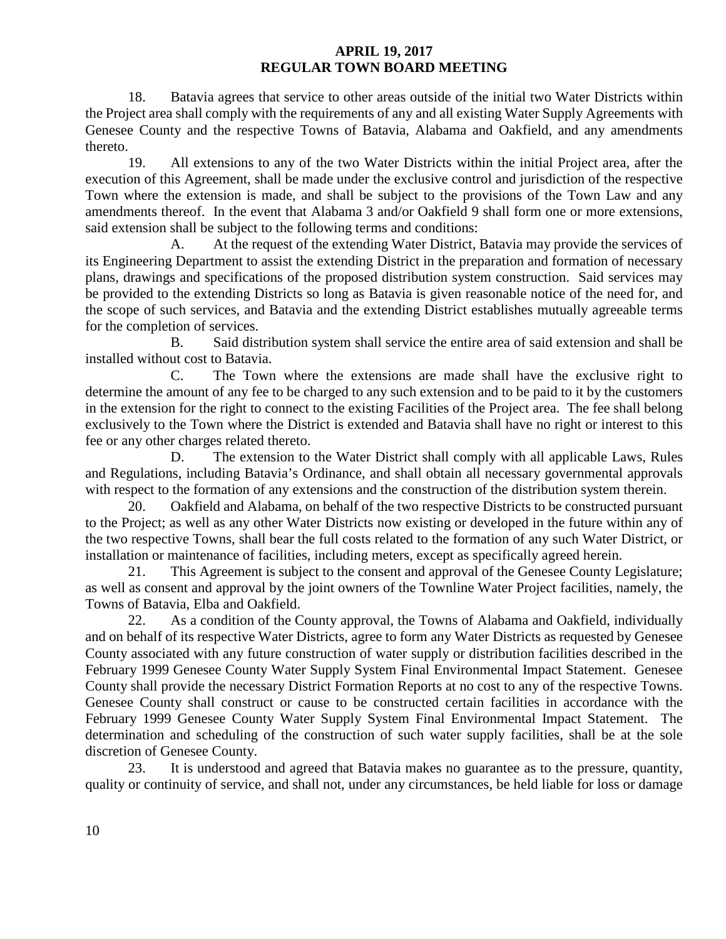18. Batavia agrees that service to other areas outside of the initial two Water Districts within the Project area shall comply with the requirements of any and all existing Water Supply Agreements with Genesee County and the respective Towns of Batavia, Alabama and Oakfield, and any amendments thereto.

19. All extensions to any of the two Water Districts within the initial Project area, after the execution of this Agreement, shall be made under the exclusive control and jurisdiction of the respective Town where the extension is made, and shall be subject to the provisions of the Town Law and any amendments thereof. In the event that Alabama 3 and/or Oakfield 9 shall form one or more extensions, said extension shall be subject to the following terms and conditions:

A. At the request of the extending Water District, Batavia may provide the services of its Engineering Department to assist the extending District in the preparation and formation of necessary plans, drawings and specifications of the proposed distribution system construction. Said services may be provided to the extending Districts so long as Batavia is given reasonable notice of the need for, and the scope of such services, and Batavia and the extending District establishes mutually agreeable terms for the completion of services.

B. Said distribution system shall service the entire area of said extension and shall be installed without cost to Batavia.

C. The Town where the extensions are made shall have the exclusive right to determine the amount of any fee to be charged to any such extension and to be paid to it by the customers in the extension for the right to connect to the existing Facilities of the Project area. The fee shall belong exclusively to the Town where the District is extended and Batavia shall have no right or interest to this fee or any other charges related thereto.

D. The extension to the Water District shall comply with all applicable Laws, Rules and Regulations, including Batavia's Ordinance, and shall obtain all necessary governmental approvals with respect to the formation of any extensions and the construction of the distribution system therein.

20. Oakfield and Alabama, on behalf of the two respective Districts to be constructed pursuant to the Project; as well as any other Water Districts now existing or developed in the future within any of the two respective Towns, shall bear the full costs related to the formation of any such Water District, or installation or maintenance of facilities, including meters, except as specifically agreed herein.

21. This Agreement is subject to the consent and approval of the Genesee County Legislature; as well as consent and approval by the joint owners of the Townline Water Project facilities, namely, the Towns of Batavia, Elba and Oakfield.

22. As a condition of the County approval, the Towns of Alabama and Oakfield, individually and on behalf of its respective Water Districts, agree to form any Water Districts as requested by Genesee County associated with any future construction of water supply or distribution facilities described in the February 1999 Genesee County Water Supply System Final Environmental Impact Statement. Genesee County shall provide the necessary District Formation Reports at no cost to any of the respective Towns. Genesee County shall construct or cause to be constructed certain facilities in accordance with the February 1999 Genesee County Water Supply System Final Environmental Impact Statement. The determination and scheduling of the construction of such water supply facilities, shall be at the sole discretion of Genesee County.

23. It is understood and agreed that Batavia makes no guarantee as to the pressure, quantity, quality or continuity of service, and shall not, under any circumstances, be held liable for loss or damage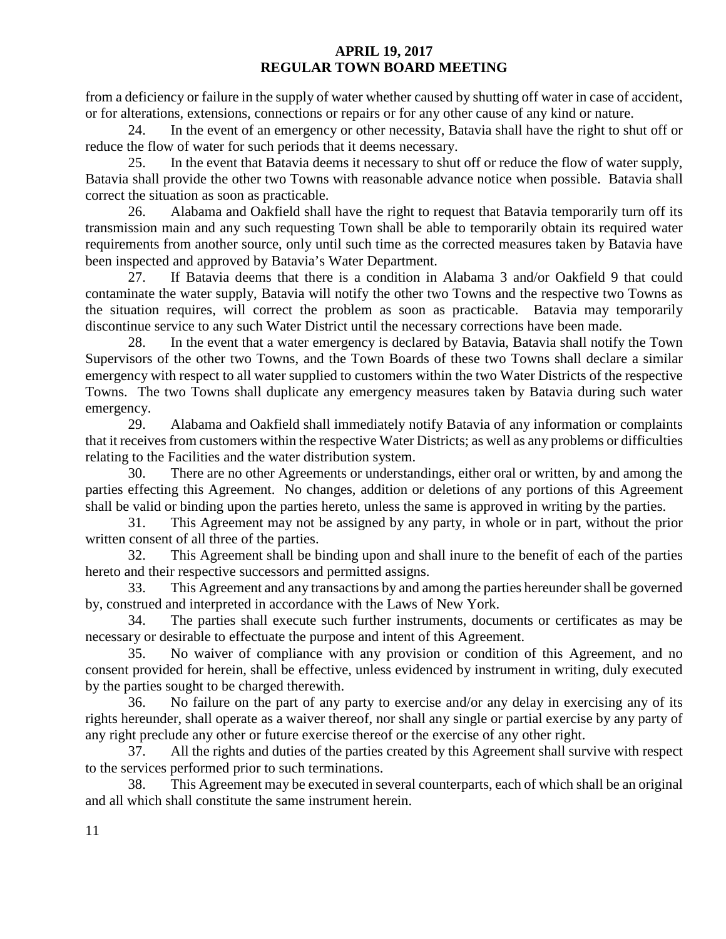from a deficiency or failure in the supply of water whether caused by shutting off water in case of accident, or for alterations, extensions, connections or repairs or for any other cause of any kind or nature.

24. In the event of an emergency or other necessity, Batavia shall have the right to shut off or reduce the flow of water for such periods that it deems necessary.

25. In the event that Batavia deems it necessary to shut off or reduce the flow of water supply, Batavia shall provide the other two Towns with reasonable advance notice when possible. Batavia shall correct the situation as soon as practicable.

26. Alabama and Oakfield shall have the right to request that Batavia temporarily turn off its transmission main and any such requesting Town shall be able to temporarily obtain its required water requirements from another source, only until such time as the corrected measures taken by Batavia have been inspected and approved by Batavia's Water Department.

27. If Batavia deems that there is a condition in Alabama 3 and/or Oakfield 9 that could contaminate the water supply, Batavia will notify the other two Towns and the respective two Towns as the situation requires, will correct the problem as soon as practicable. Batavia may temporarily discontinue service to any such Water District until the necessary corrections have been made.

28. In the event that a water emergency is declared by Batavia, Batavia shall notify the Town Supervisors of the other two Towns, and the Town Boards of these two Towns shall declare a similar emergency with respect to all water supplied to customers within the two Water Districts of the respective Towns. The two Towns shall duplicate any emergency measures taken by Batavia during such water emergency.

29. Alabama and Oakfield shall immediately notify Batavia of any information or complaints that it receives from customers within the respective Water Districts; as well as any problems or difficulties relating to the Facilities and the water distribution system.

30. There are no other Agreements or understandings, either oral or written, by and among the parties effecting this Agreement. No changes, addition or deletions of any portions of this Agreement shall be valid or binding upon the parties hereto, unless the same is approved in writing by the parties.

31. This Agreement may not be assigned by any party, in whole or in part, without the prior written consent of all three of the parties.

32. This Agreement shall be binding upon and shall inure to the benefit of each of the parties hereto and their respective successors and permitted assigns.

33. This Agreement and any transactions by and among the parties hereunder shall be governed by, construed and interpreted in accordance with the Laws of New York.

34. The parties shall execute such further instruments, documents or certificates as may be necessary or desirable to effectuate the purpose and intent of this Agreement.

35. No waiver of compliance with any provision or condition of this Agreement, and no consent provided for herein, shall be effective, unless evidenced by instrument in writing, duly executed by the parties sought to be charged therewith.

36. No failure on the part of any party to exercise and/or any delay in exercising any of its rights hereunder, shall operate as a waiver thereof, nor shall any single or partial exercise by any party of any right preclude any other or future exercise thereof or the exercise of any other right.

37. All the rights and duties of the parties created by this Agreement shall survive with respect to the services performed prior to such terminations.

38. This Agreement may be executed in several counterparts, each of which shall be an original and all which shall constitute the same instrument herein.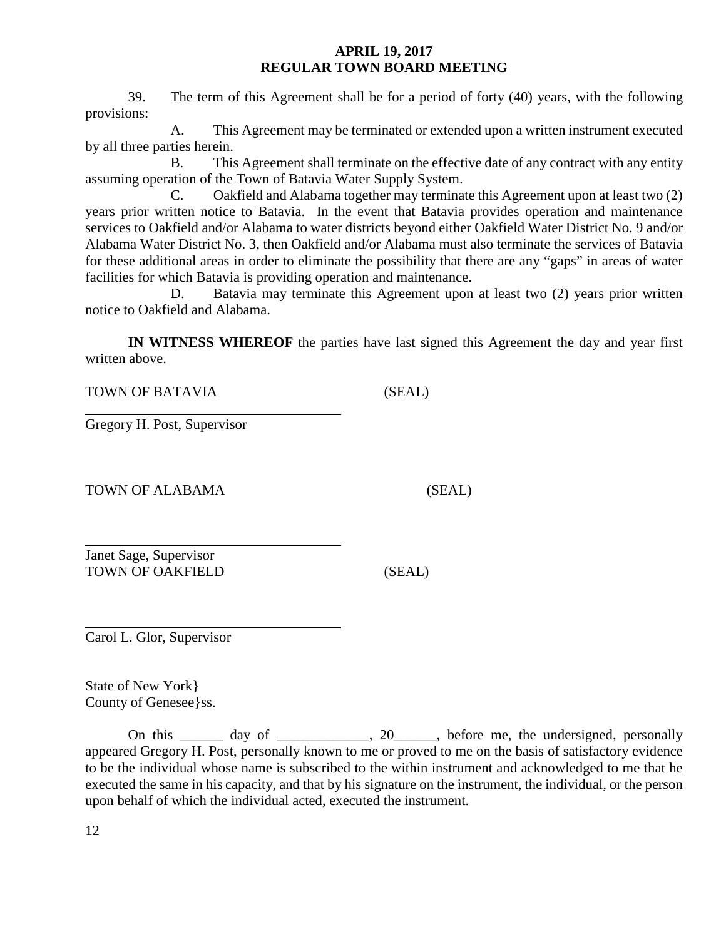39. The term of this Agreement shall be for a period of forty (40) years, with the following provisions:

A. This Agreement may be terminated or extended upon a written instrument executed by all three parties herein.

B. This Agreement shall terminate on the effective date of any contract with any entity assuming operation of the Town of Batavia Water Supply System.

C. Oakfield and Alabama together may terminate this Agreement upon at least two (2) years prior written notice to Batavia. In the event that Batavia provides operation and maintenance services to Oakfield and/or Alabama to water districts beyond either Oakfield Water District No. 9 and/or Alabama Water District No. 3, then Oakfield and/or Alabama must also terminate the services of Batavia for these additional areas in order to eliminate the possibility that there are any "gaps" in areas of water facilities for which Batavia is providing operation and maintenance.

D. Batavia may terminate this Agreement upon at least two (2) years prior written notice to Oakfield and Alabama.

**IN WITNESS WHEREOF** the parties have last signed this Agreement the day and year first written above.

TOWN OF BATAVIA (SEAL)

Gregory H. Post, Supervisor

TOWN OF ALABAMA (SEAL)

Janet Sage, Supervisor TOWN OF OAKFIELD (SEAL)

Carol L. Glor, Supervisor

State of New York} County of Genesee}ss.

On this \_\_\_\_\_\_ day of \_\_\_\_\_\_\_\_\_, 20\_\_\_\_, before me, the undersigned, personally appeared Gregory H. Post, personally known to me or proved to me on the basis of satisfactory evidence to be the individual whose name is subscribed to the within instrument and acknowledged to me that he executed the same in his capacity, and that by his signature on the instrument, the individual, or the person upon behalf of which the individual acted, executed the instrument.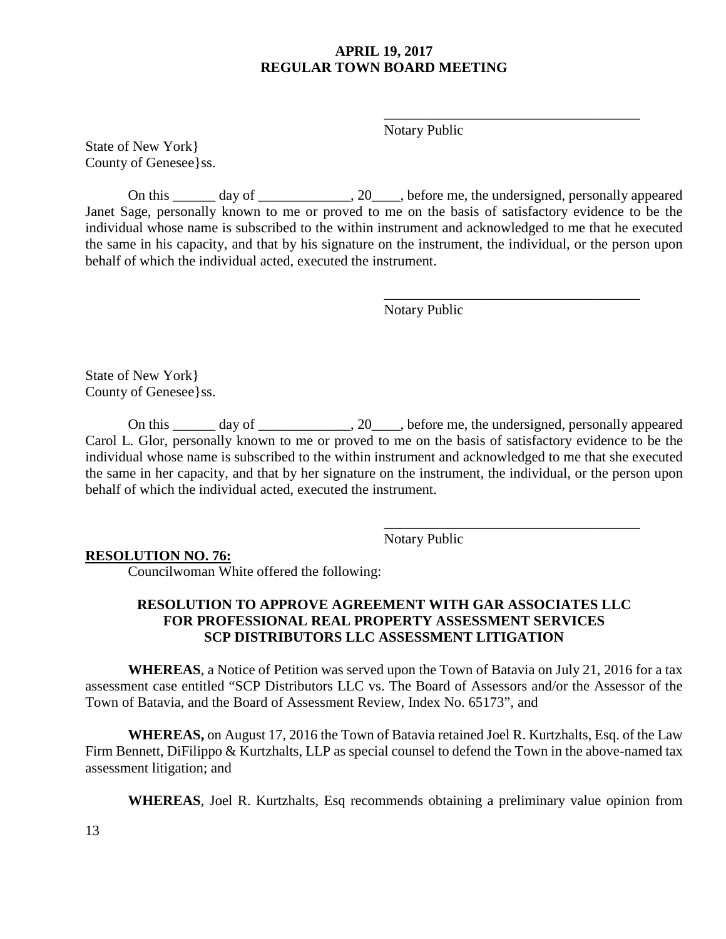Notary Public

\_\_\_\_\_\_\_\_\_\_\_\_\_\_\_\_\_\_\_\_\_\_\_\_\_\_\_\_\_\_\_\_\_\_\_\_

\_\_\_\_\_\_\_\_\_\_\_\_\_\_\_\_\_\_\_\_\_\_\_\_\_\_\_\_\_\_\_\_\_\_\_\_

State of New York} County of Genesee}ss.

On this \_\_\_\_\_\_ day of \_\_\_\_\_\_\_\_\_\_\_\_\_, 20\_\_\_\_, before me, the undersigned, personally appeared Janet Sage, personally known to me or proved to me on the basis of satisfactory evidence to be the individual whose name is subscribed to the within instrument and acknowledged to me that he executed the same in his capacity, and that by his signature on the instrument, the individual, or the person upon behalf of which the individual acted, executed the instrument.

Notary Public

State of New York} County of Genesee}ss.

On this day of  $\qquad \qquad .20$ , before me, the undersigned, personally appeared Carol L. Glor, personally known to me or proved to me on the basis of satisfactory evidence to be the individual whose name is subscribed to the within instrument and acknowledged to me that she executed the same in her capacity, and that by her signature on the instrument, the individual, or the person upon behalf of which the individual acted, executed the instrument.

> \_\_\_\_\_\_\_\_\_\_\_\_\_\_\_\_\_\_\_\_\_\_\_\_\_\_\_\_\_\_\_\_\_\_\_\_ Notary Public

#### **RESOLUTION NO. 76:**

Councilwoman White offered the following:

### **RESOLUTION TO APPROVE AGREEMENT WITH GAR ASSOCIATES LLC FOR PROFESSIONAL REAL PROPERTY ASSESSMENT SERVICES SCP DISTRIBUTORS LLC ASSESSMENT LITIGATION**

**WHEREAS**, a Notice of Petition was served upon the Town of Batavia on July 21, 2016 for a tax assessment case entitled "SCP Distributors LLC vs. The Board of Assessors and/or the Assessor of the Town of Batavia, and the Board of Assessment Review, Index No. 65173", and

**WHEREAS,** on August 17, 2016 the Town of Batavia retained Joel R. Kurtzhalts, Esq. of the Law Firm Bennett, Diffilippo & Kurtzhalts, LLP as special counsel to defend the Town in the above-named tax assessment litigation; and

**WHEREAS**, Joel R. Kurtzhalts, Esq recommends obtaining a preliminary value opinion from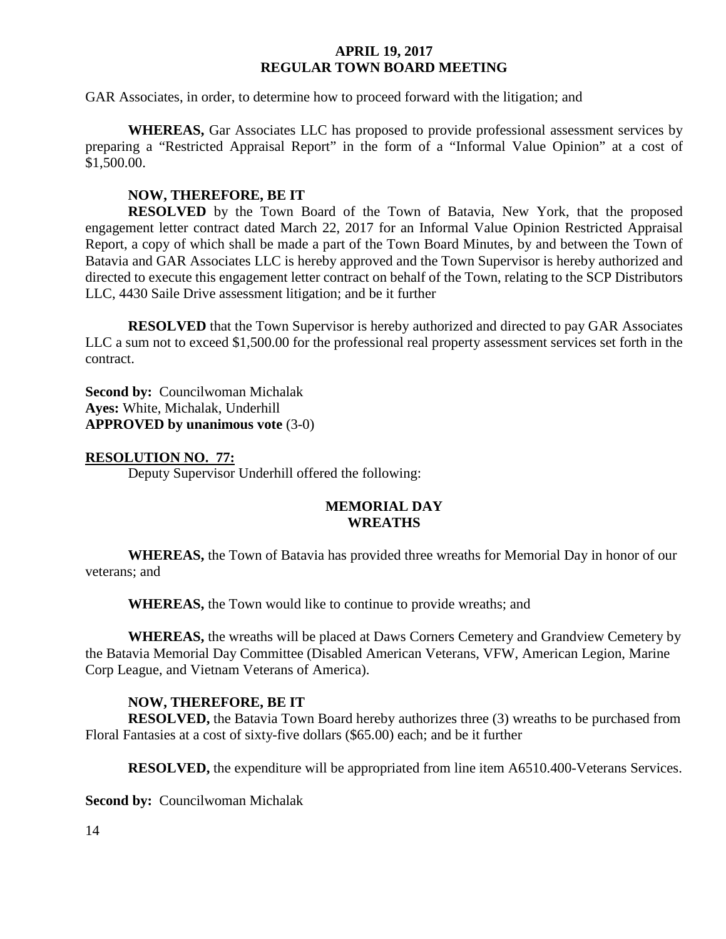GAR Associates, in order, to determine how to proceed forward with the litigation; and

**WHEREAS,** Gar Associates LLC has proposed to provide professional assessment services by preparing a "Restricted Appraisal Report" in the form of a "Informal Value Opinion" at a cost of \$1,500.00.

### **NOW, THEREFORE, BE IT**

**RESOLVED** by the Town Board of the Town of Batavia, New York, that the proposed engagement letter contract dated March 22, 2017 for an Informal Value Opinion Restricted Appraisal Report, a copy of which shall be made a part of the Town Board Minutes, by and between the Town of Batavia and GAR Associates LLC is hereby approved and the Town Supervisor is hereby authorized and directed to execute this engagement letter contract on behalf of the Town, relating to the SCP Distributors LLC, 4430 Saile Drive assessment litigation; and be it further

**RESOLVED** that the Town Supervisor is hereby authorized and directed to pay GAR Associates LLC a sum not to exceed \$1,500.00 for the professional real property assessment services set forth in the contract.

**Second by: Councilwoman Michalak Ayes:** White, Michalak, Underhill **APPROVED by unanimous vote** (3-0)

#### **RESOLUTION NO. 77:**

Deputy Supervisor Underhill offered the following:

#### **MEMORIAL DAY WREATHS**

**WHEREAS,** the Town of Batavia has provided three wreaths for Memorial Day in honor of our veterans; and

**WHEREAS,** the Town would like to continue to provide wreaths; and

**WHEREAS,** the wreaths will be placed at Daws Corners Cemetery and Grandview Cemetery by the Batavia Memorial Day Committee (Disabled American Veterans, VFW, American Legion, Marine Corp League, and Vietnam Veterans of America).

### **NOW, THEREFORE, BE IT**

**RESOLVED,** the Batavia Town Board hereby authorizes three (3) wreaths to be purchased from Floral Fantasies at a cost of sixty-five dollars (\$65.00) each; and be it further

**RESOLVED,** the expenditure will be appropriated from line item A6510.400-Veterans Services.

**Second by: Councilwoman Michalak**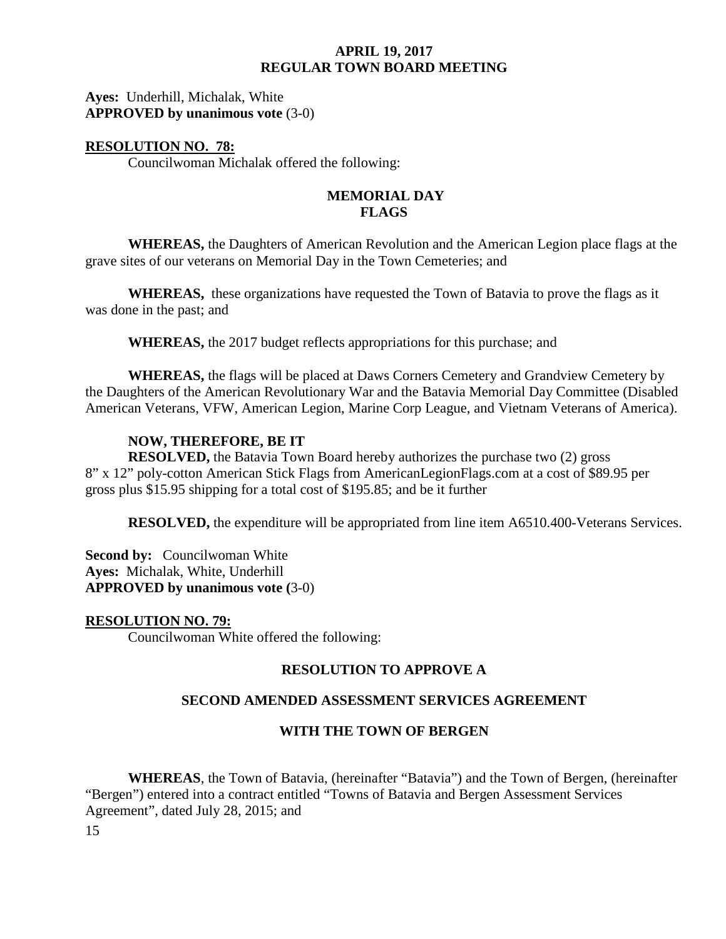### **Ayes:** Underhill, Michalak, White **APPROVED by unanimous vote** (3-0)

### **RESOLUTION NO. 78:**

Councilwoman Michalak offered the following:

#### **MEMORIAL DAY FLAGS**

**WHEREAS,** the Daughters of American Revolution and the American Legion place flags at the grave sites of our veterans on Memorial Day in the Town Cemeteries; and

**WHEREAS,** these organizations have requested the Town of Batavia to prove the flags as it was done in the past; and

**WHEREAS,** the 2017 budget reflects appropriations for this purchase; and

**WHEREAS,** the flags will be placed at Daws Corners Cemetery and Grandview Cemetery by the Daughters of the American Revolutionary War and the Batavia Memorial Day Committee (Disabled American Veterans, VFW, American Legion, Marine Corp League, and Vietnam Veterans of America).

### **NOW, THEREFORE, BE IT**

**RESOLVED,** the Batavia Town Board hereby authorizes the purchase two (2) gross 8" x 12" poly-cotton American Stick Flags from AmericanLegionFlags.com at a cost of \$89.95 per gross plus \$15.95 shipping for a total cost of \$195.85; and be it further

**RESOLVED,** the expenditure will be appropriated from line item A6510.400-Veterans Services.

**Second by:** Councilwoman White **Ayes:** Michalak, White, Underhill **APPROVED by unanimous vote (**3-0)

### **RESOLUTION NO. 79:**

Councilwoman White offered the following:

### **RESOLUTION TO APPROVE A**

### **SECOND AMENDED ASSESSMENT SERVICES AGREEMENT**

### **WITH THE TOWN OF BERGEN**

**WHEREAS**, the Town of Batavia, (hereinafter "Batavia") and the Town of Bergen, (hereinafter "Bergen") entered into a contract entitled "Towns of Batavia and Bergen Assessment Services Agreement", dated July 28, 2015; and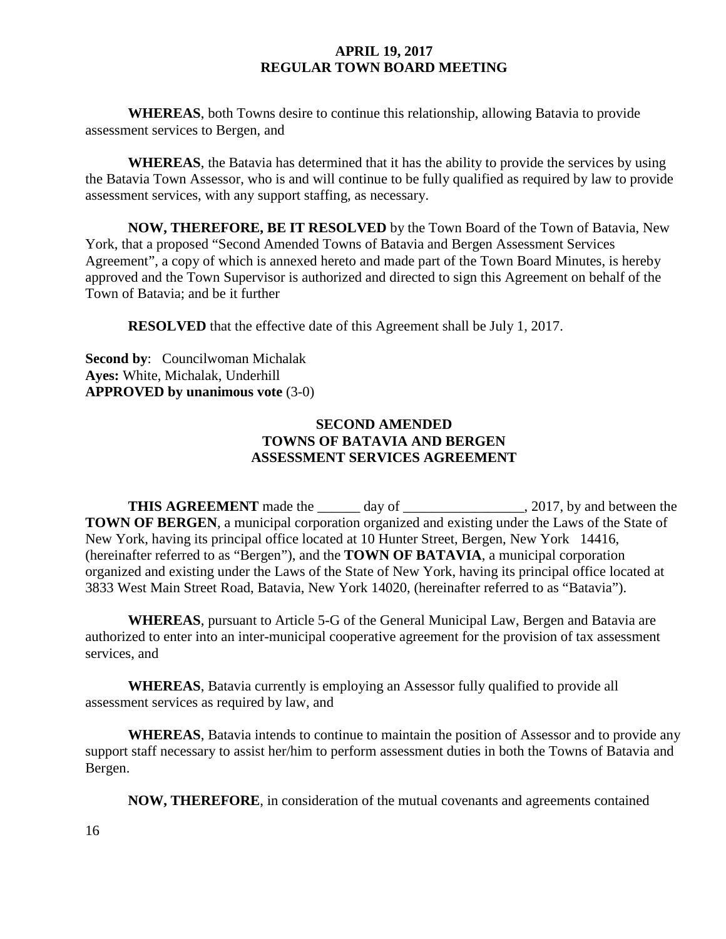**WHEREAS**, both Towns desire to continue this relationship, allowing Batavia to provide assessment services to Bergen, and

**WHEREAS**, the Batavia has determined that it has the ability to provide the services by using the Batavia Town Assessor, who is and will continue to be fully qualified as required by law to provide assessment services, with any support staffing, as necessary.

**NOW, THEREFORE, BE IT RESOLVED** by the Town Board of the Town of Batavia, New York, that a proposed "Second Amended Towns of Batavia and Bergen Assessment Services Agreement", a copy of which is annexed hereto and made part of the Town Board Minutes, is hereby approved and the Town Supervisor is authorized and directed to sign this Agreement on behalf of the Town of Batavia; and be it further

**RESOLVED** that the effective date of this Agreement shall be July 1, 2017.

**Second by**: Councilwoman Michalak **Ayes:** White, Michalak, Underhill **APPROVED by unanimous vote** (3-0)

### **SECOND AMENDED TOWNS OF BATAVIA AND BERGEN ASSESSMENT SERVICES AGREEMENT**

THIS AGREEMENT made the \_\_\_\_\_\_ day of \_\_\_\_\_\_\_\_\_\_\_\_\_\_\_, 2017, by and between the **TOWN OF BERGEN**, a municipal corporation organized and existing under the Laws of the State of New York, having its principal office located at 10 Hunter Street, Bergen, New York 14416, (hereinafter referred to as "Bergen"), and the **TOWN OF BATAVIA**, a municipal corporation organized and existing under the Laws of the State of New York, having its principal office located at 3833 West Main Street Road, Batavia, New York 14020, (hereinafter referred to as "Batavia").

**WHEREAS**, pursuant to Article 5-G of the General Municipal Law, Bergen and Batavia are authorized to enter into an inter-municipal cooperative agreement for the provision of tax assessment services, and

**WHEREAS**, Batavia currently is employing an Assessor fully qualified to provide all assessment services as required by law, and

**WHEREAS**, Batavia intends to continue to maintain the position of Assessor and to provide any support staff necessary to assist her/him to perform assessment duties in both the Towns of Batavia and Bergen.

**NOW, THEREFORE**, in consideration of the mutual covenants and agreements contained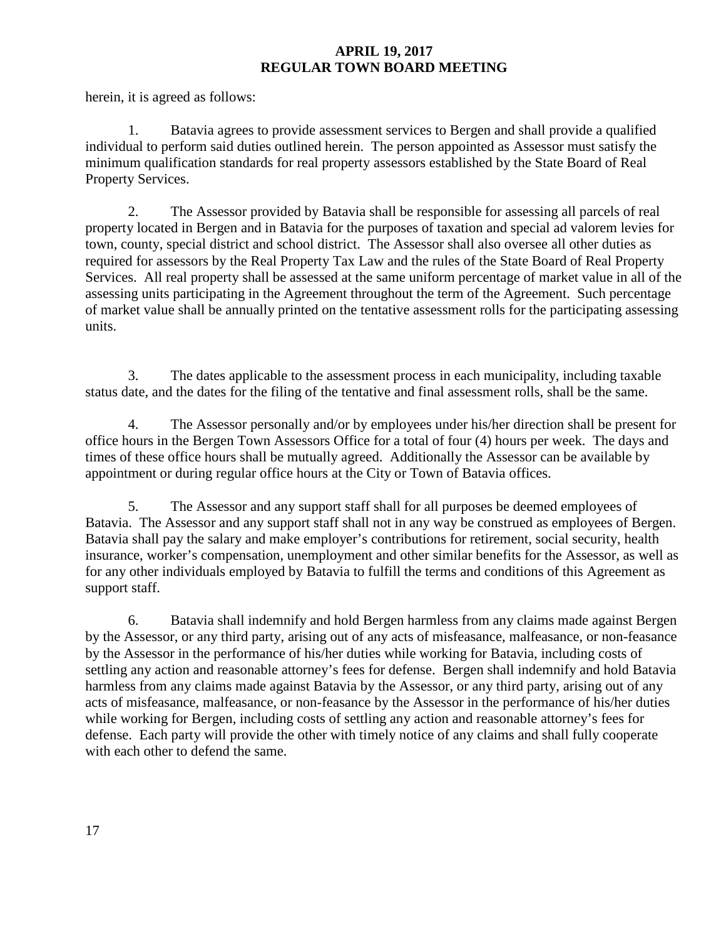herein, it is agreed as follows:

1. Batavia agrees to provide assessment services to Bergen and shall provide a qualified individual to perform said duties outlined herein. The person appointed as Assessor must satisfy the minimum qualification standards for real property assessors established by the State Board of Real Property Services.

2. The Assessor provided by Batavia shall be responsible for assessing all parcels of real property located in Bergen and in Batavia for the purposes of taxation and special ad valorem levies for town, county, special district and school district. The Assessor shall also oversee all other duties as required for assessors by the Real Property Tax Law and the rules of the State Board of Real Property Services. All real property shall be assessed at the same uniform percentage of market value in all of the assessing units participating in the Agreement throughout the term of the Agreement. Such percentage of market value shall be annually printed on the tentative assessment rolls for the participating assessing units.

3. The dates applicable to the assessment process in each municipality, including taxable status date, and the dates for the filing of the tentative and final assessment rolls, shall be the same.

4. The Assessor personally and/or by employees under his/her direction shall be present for office hours in the Bergen Town Assessors Office for a total of four (4) hours per week. The days and times of these office hours shall be mutually agreed. Additionally the Assessor can be available by appointment or during regular office hours at the City or Town of Batavia offices.

5. The Assessor and any support staff shall for all purposes be deemed employees of Batavia. The Assessor and any support staff shall not in any way be construed as employees of Bergen. Batavia shall pay the salary and make employer's contributions for retirement, social security, health insurance, worker's compensation, unemployment and other similar benefits for the Assessor, as well as for any other individuals employed by Batavia to fulfill the terms and conditions of this Agreement as support staff.

6. Batavia shall indemnify and hold Bergen harmless from any claims made against Bergen by the Assessor, or any third party, arising out of any acts of misfeasance, malfeasance, or non-feasance by the Assessor in the performance of his/her duties while working for Batavia, including costs of settling any action and reasonable attorney's fees for defense. Bergen shall indemnify and hold Batavia harmless from any claims made against Batavia by the Assessor, or any third party, arising out of any acts of misfeasance, malfeasance, or non-feasance by the Assessor in the performance of his/her duties while working for Bergen, including costs of settling any action and reasonable attorney's fees for defense. Each party will provide the other with timely notice of any claims and shall fully cooperate with each other to defend the same.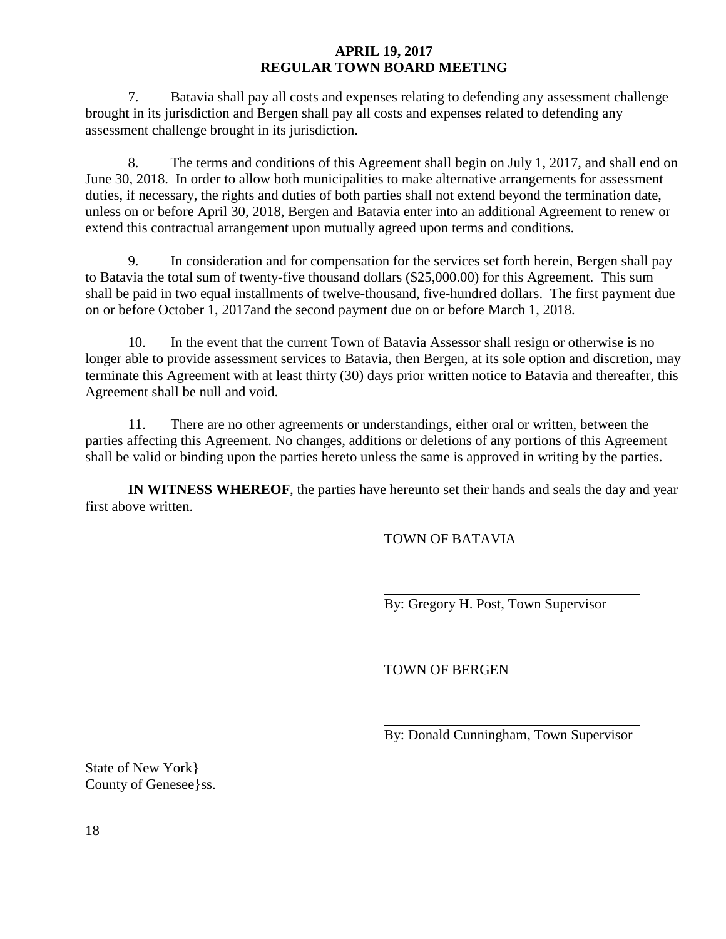7. Batavia shall pay all costs and expenses relating to defending any assessment challenge brought in its jurisdiction and Bergen shall pay all costs and expenses related to defending any assessment challenge brought in its jurisdiction.

8. The terms and conditions of this Agreement shall begin on July 1, 2017, and shall end on June 30, 2018. In order to allow both municipalities to make alternative arrangements for assessment duties, if necessary, the rights and duties of both parties shall not extend beyond the termination date, unless on or before April 30, 2018, Bergen and Batavia enter into an additional Agreement to renew or extend this contractual arrangement upon mutually agreed upon terms and conditions.

9. In consideration and for compensation for the services set forth herein, Bergen shall pay to Batavia the total sum of twenty-five thousand dollars (\$25,000.00) for this Agreement. This sum shall be paid in two equal installments of twelve-thousand, five-hundred dollars. The first payment due on or before October 1, 2017and the second payment due on or before March 1, 2018.

10. In the event that the current Town of Batavia Assessor shall resign or otherwise is no longer able to provide assessment services to Batavia, then Bergen, at its sole option and discretion, may terminate this Agreement with at least thirty (30) days prior written notice to Batavia and thereafter, this Agreement shall be null and void.

11. There are no other agreements or understandings, either oral or written, between the parties affecting this Agreement. No changes, additions or deletions of any portions of this Agreement shall be valid or binding upon the parties hereto unless the same is approved in writing by the parties.

**IN WITNESS WHEREOF**, the parties have hereunto set their hands and seals the day and year first above written.

TOWN OF BATAVIA

By: Gregory H. Post, Town Supervisor

TOWN OF BERGEN

By: Donald Cunningham, Town Supervisor

State of New York} County of Genesee}ss.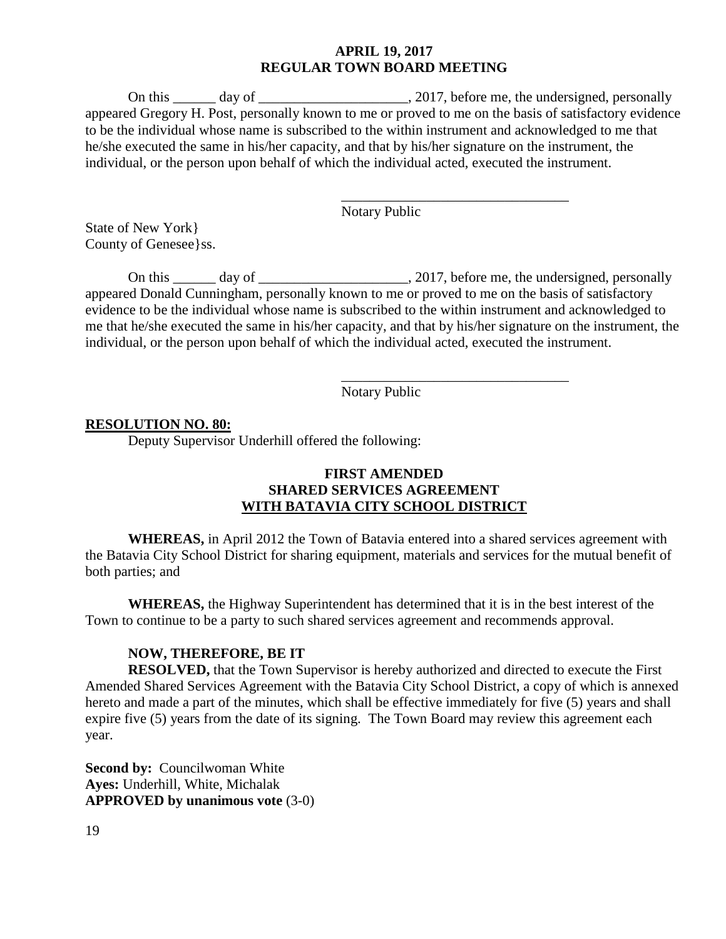On this \_\_\_\_\_\_ day of \_\_\_\_\_\_\_\_\_\_\_\_\_\_\_\_\_\_\_\_, 2017, before me, the undersigned, personally appeared Gregory H. Post, personally known to me or proved to me on the basis of satisfactory evidence to be the individual whose name is subscribed to the within instrument and acknowledged to me that he/she executed the same in his/her capacity, and that by his/her signature on the instrument, the individual, or the person upon behalf of which the individual acted, executed the instrument.

Notary Public

\_\_\_\_\_\_\_\_\_\_\_\_\_\_\_\_\_\_\_\_\_\_\_\_\_\_\_\_\_\_\_\_

\_\_\_\_\_\_\_\_\_\_\_\_\_\_\_\_\_\_\_\_\_\_\_\_\_\_\_\_\_\_\_\_

State of New York} County of Genesee}ss.

On this \_\_\_\_\_\_ day of \_\_\_\_\_\_\_\_\_\_\_\_\_\_\_\_\_\_\_\_, 2017, before me, the undersigned, personally appeared Donald Cunningham, personally known to me or proved to me on the basis of satisfactory evidence to be the individual whose name is subscribed to the within instrument and acknowledged to me that he/she executed the same in his/her capacity, and that by his/her signature on the instrument, the individual, or the person upon behalf of which the individual acted, executed the instrument.

Notary Public

#### **RESOLUTION NO. 80:**

Deputy Supervisor Underhill offered the following:

### **FIRST AMENDED SHARED SERVICES AGREEMENT WITH BATAVIA CITY SCHOOL DISTRICT**

**WHEREAS,** in April 2012 the Town of Batavia entered into a shared services agreement with the Batavia City School District for sharing equipment, materials and services for the mutual benefit of both parties; and

**WHEREAS,** the Highway Superintendent has determined that it is in the best interest of the Town to continue to be a party to such shared services agreement and recommends approval.

#### **NOW, THEREFORE, BE IT**

**RESOLVED,** that the Town Supervisor is hereby authorized and directed to execute the First Amended Shared Services Agreement with the Batavia City School District, a copy of which is annexed hereto and made a part of the minutes, which shall be effective immediately for five (5) years and shall expire five (5) years from the date of its signing. The Town Board may review this agreement each year.

**Second by: Councilwoman White Ayes:** Underhill, White, Michalak **APPROVED by unanimous vote** (3-0)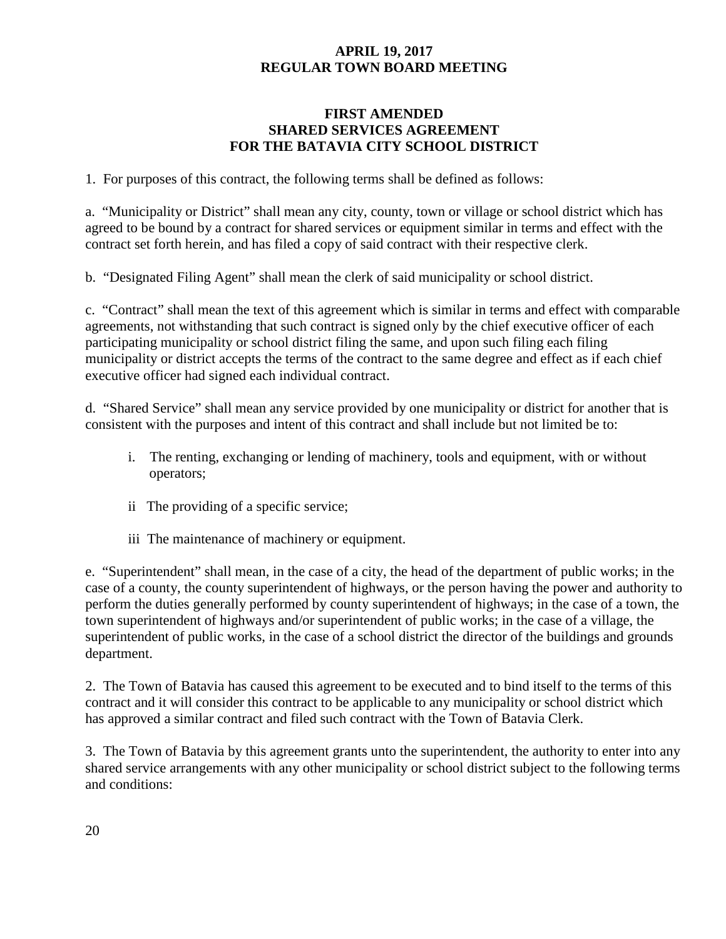### **FIRST AMENDED SHARED SERVICES AGREEMENT FOR THE BATAVIA CITY SCHOOL DISTRICT**

1. For purposes of this contract, the following terms shall be defined as follows:

a. "Municipality or District" shall mean any city, county, town or village or school district which has agreed to be bound by a contract for shared services or equipment similar in terms and effect with the contract set forth herein, and has filed a copy of said contract with their respective clerk.

b. "Designated Filing Agent" shall mean the clerk of said municipality or school district.

c. "Contract" shall mean the text of this agreement which is similar in terms and effect with comparable agreements, not withstanding that such contract is signed only by the chief executive officer of each participating municipality or school district filing the same, and upon such filing each filing municipality or district accepts the terms of the contract to the same degree and effect as if each chief executive officer had signed each individual contract.

d. "Shared Service" shall mean any service provided by one municipality or district for another that is consistent with the purposes and intent of this contract and shall include but not limited be to:

- i. The renting, exchanging or lending of machinery, tools and equipment, with or without operators;
- ii The providing of a specific service;
- iii The maintenance of machinery or equipment.

e. "Superintendent" shall mean, in the case of a city, the head of the department of public works; in the case of a county, the county superintendent of highways, or the person having the power and authority to perform the duties generally performed by county superintendent of highways; in the case of a town, the town superintendent of highways and/or superintendent of public works; in the case of a village, the superintendent of public works, in the case of a school district the director of the buildings and grounds department.

2. The Town of Batavia has caused this agreement to be executed and to bind itself to the terms of this contract and it will consider this contract to be applicable to any municipality or school district which has approved a similar contract and filed such contract with the Town of Batavia Clerk.

3. The Town of Batavia by this agreement grants unto the superintendent, the authority to enter into any shared service arrangements with any other municipality or school district subject to the following terms and conditions: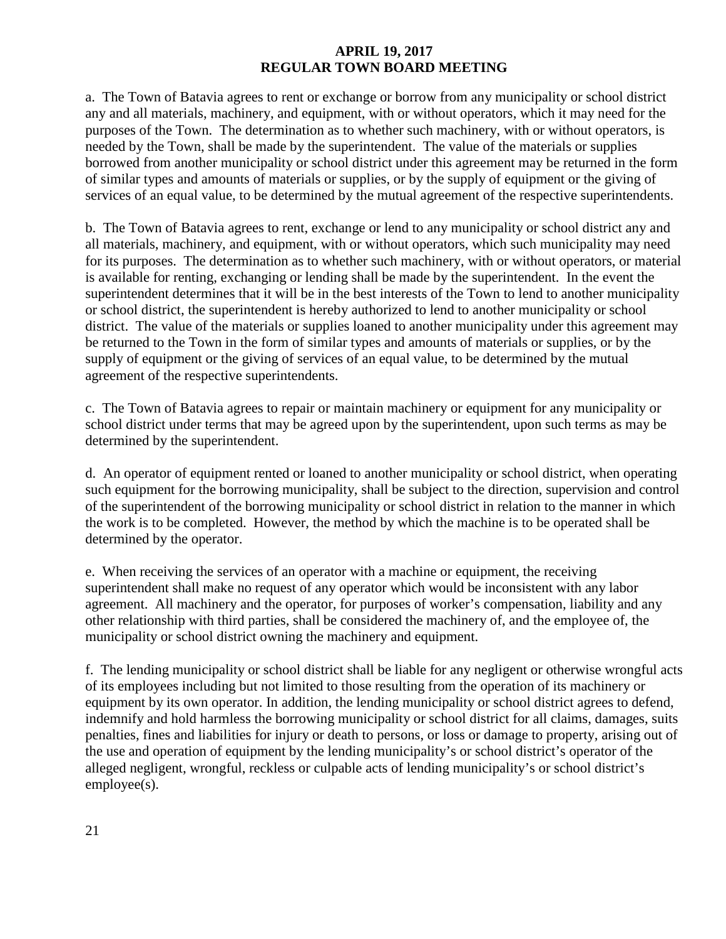a. The Town of Batavia agrees to rent or exchange or borrow from any municipality or school district any and all materials, machinery, and equipment, with or without operators, which it may need for the purposes of the Town. The determination as to whether such machinery, with or without operators, is needed by the Town, shall be made by the superintendent. The value of the materials or supplies borrowed from another municipality or school district under this agreement may be returned in the form of similar types and amounts of materials or supplies, or by the supply of equipment or the giving of services of an equal value, to be determined by the mutual agreement of the respective superintendents.

b. The Town of Batavia agrees to rent, exchange or lend to any municipality or school district any and all materials, machinery, and equipment, with or without operators, which such municipality may need for its purposes. The determination as to whether such machinery, with or without operators, or material is available for renting, exchanging or lending shall be made by the superintendent. In the event the superintendent determines that it will be in the best interests of the Town to lend to another municipality or school district, the superintendent is hereby authorized to lend to another municipality or school district. The value of the materials or supplies loaned to another municipality under this agreement may be returned to the Town in the form of similar types and amounts of materials or supplies, or by the supply of equipment or the giving of services of an equal value, to be determined by the mutual agreement of the respective superintendents.

c. The Town of Batavia agrees to repair or maintain machinery or equipment for any municipality or school district under terms that may be agreed upon by the superintendent, upon such terms as may be determined by the superintendent.

d. An operator of equipment rented or loaned to another municipality or school district, when operating such equipment for the borrowing municipality, shall be subject to the direction, supervision and control of the superintendent of the borrowing municipality or school district in relation to the manner in which the work is to be completed. However, the method by which the machine is to be operated shall be determined by the operator.

e. When receiving the services of an operator with a machine or equipment, the receiving superintendent shall make no request of any operator which would be inconsistent with any labor agreement. All machinery and the operator, for purposes of worker's compensation, liability and any other relationship with third parties, shall be considered the machinery of, and the employee of, the municipality or school district owning the machinery and equipment.

f. The lending municipality or school district shall be liable for any negligent or otherwise wrongful acts of its employees including but not limited to those resulting from the operation of its machinery or equipment by its own operator. In addition, the lending municipality or school district agrees to defend, indemnify and hold harmless the borrowing municipality or school district for all claims, damages, suits penalties, fines and liabilities for injury or death to persons, or loss or damage to property, arising out of the use and operation of equipment by the lending municipality's or school district's operator of the alleged negligent, wrongful, reckless or culpable acts of lending municipality's or school district's employee(s).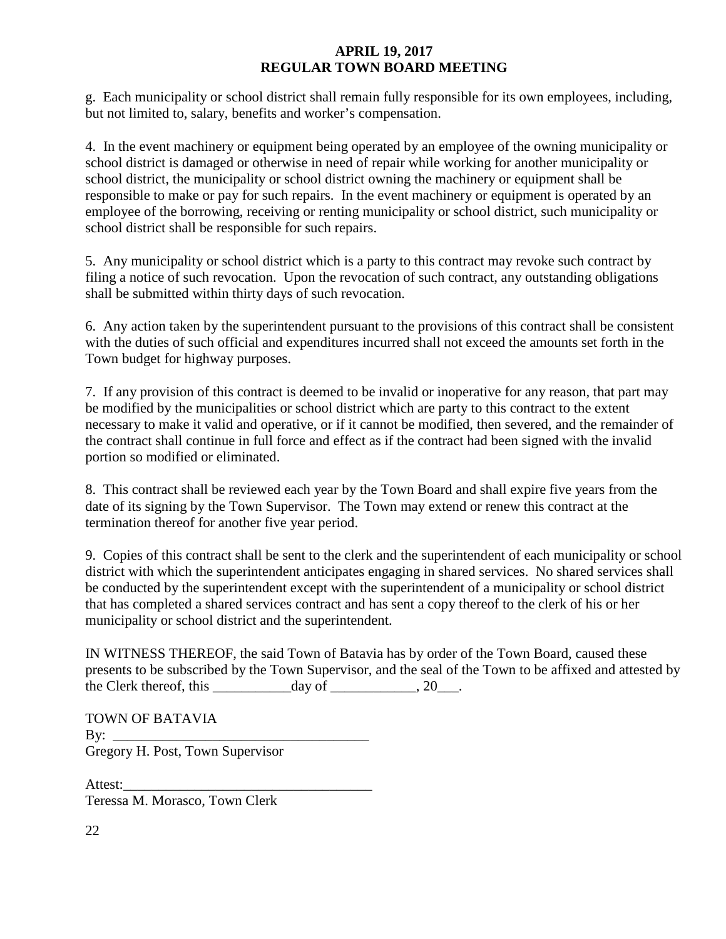g. Each municipality or school district shall remain fully responsible for its own employees, including, but not limited to, salary, benefits and worker's compensation.

4. In the event machinery or equipment being operated by an employee of the owning municipality or school district is damaged or otherwise in need of repair while working for another municipality or school district, the municipality or school district owning the machinery or equipment shall be responsible to make or pay for such repairs. In the event machinery or equipment is operated by an employee of the borrowing, receiving or renting municipality or school district, such municipality or school district shall be responsible for such repairs.

5. Any municipality or school district which is a party to this contract may revoke such contract by filing a notice of such revocation. Upon the revocation of such contract, any outstanding obligations shall be submitted within thirty days of such revocation.

6. Any action taken by the superintendent pursuant to the provisions of this contract shall be consistent with the duties of such official and expenditures incurred shall not exceed the amounts set forth in the Town budget for highway purposes.

7. If any provision of this contract is deemed to be invalid or inoperative for any reason, that part may be modified by the municipalities or school district which are party to this contract to the extent necessary to make it valid and operative, or if it cannot be modified, then severed, and the remainder of the contract shall continue in full force and effect as if the contract had been signed with the invalid portion so modified or eliminated.

8. This contract shall be reviewed each year by the Town Board and shall expire five years from the date of its signing by the Town Supervisor. The Town may extend or renew this contract at the termination thereof for another five year period.

9. Copies of this contract shall be sent to the clerk and the superintendent of each municipality or school district with which the superintendent anticipates engaging in shared services. No shared services shall be conducted by the superintendent except with the superintendent of a municipality or school district that has completed a shared services contract and has sent a copy thereof to the clerk of his or her municipality or school district and the superintendent.

IN WITNESS THEREOF, the said Town of Batavia has by order of the Town Board, caused these presents to be subscribed by the Town Supervisor, and the seal of the Town to be affixed and attested by the Clerk thereof, this day of  $\qquad \qquad$  20.

TOWN OF BATAVIA  $Bv:$ Gregory H. Post, Town Supervisor

Attest: Teressa M. Morasco, Town Clerk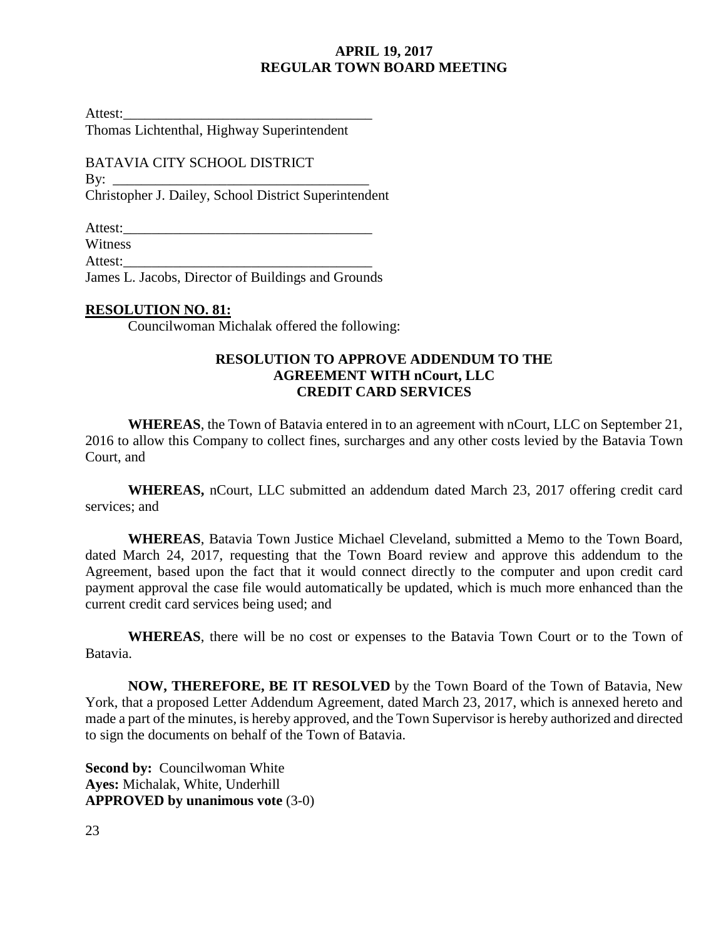Attest:\_\_\_\_\_\_\_\_\_\_\_\_\_\_\_\_\_\_\_\_\_\_\_\_\_\_\_\_\_\_\_\_\_\_\_

Thomas Lichtenthal, Highway Superintendent

BATAVIA CITY SCHOOL DISTRICT By:  $\_\_$ Christopher J. Dailey, School District Superintendent

Attest:\_\_\_\_\_\_\_\_\_\_\_\_\_\_\_\_\_\_\_\_\_\_\_\_\_\_\_\_\_\_\_\_\_\_\_

Witness

Attest:

James L. Jacobs, Director of Buildings and Grounds

### **RESOLUTION NO. 81:**

Councilwoman Michalak offered the following:

### **RESOLUTION TO APPROVE ADDENDUM TO THE AGREEMENT WITH nCourt, LLC CREDIT CARD SERVICES**

**WHEREAS**, the Town of Batavia entered in to an agreement with nCourt, LLC on September 21, 2016 to allow this Company to collect fines, surcharges and any other costs levied by the Batavia Town Court, and

**WHEREAS,** nCourt, LLC submitted an addendum dated March 23, 2017 offering credit card services; and

**WHEREAS**, Batavia Town Justice Michael Cleveland, submitted a Memo to the Town Board, dated March 24, 2017, requesting that the Town Board review and approve this addendum to the Agreement, based upon the fact that it would connect directly to the computer and upon credit card payment approval the case file would automatically be updated, which is much more enhanced than the current credit card services being used; and

**WHEREAS**, there will be no cost or expenses to the Batavia Town Court or to the Town of Batavia.

**NOW, THEREFORE, BE IT RESOLVED** by the Town Board of the Town of Batavia, New York, that a proposed Letter Addendum Agreement, dated March 23, 2017, which is annexed hereto and made a part of the minutes, is hereby approved, and the Town Supervisor is hereby authorized and directed to sign the documents on behalf of the Town of Batavia.

**Second by: Councilwoman White Ayes:** Michalak, White, Underhill **APPROVED by unanimous vote** (3-0)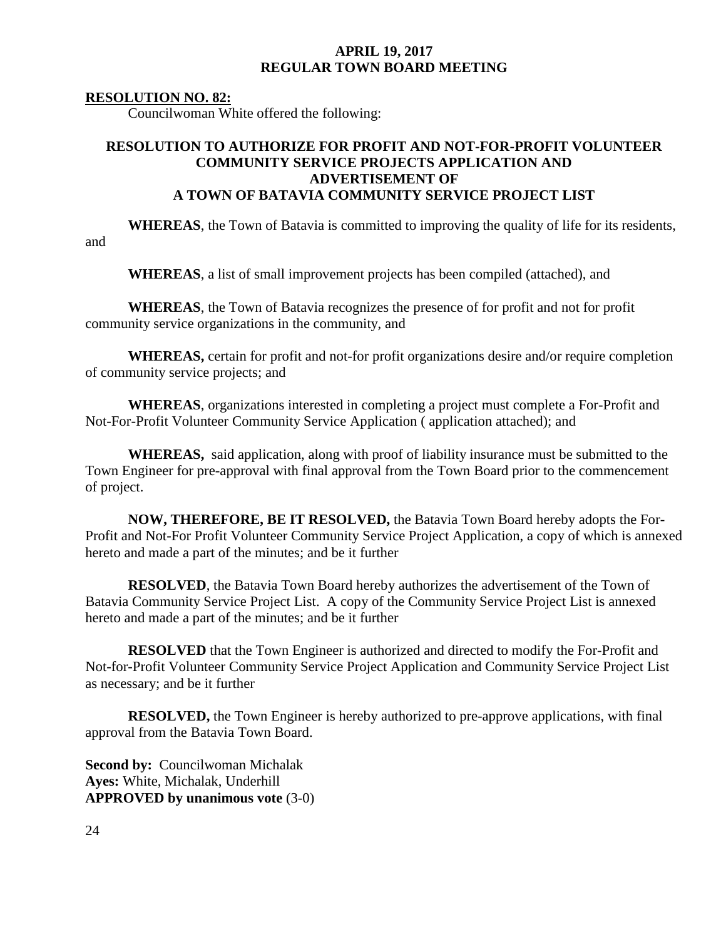#### **RESOLUTION NO. 82:**

Councilwoman White offered the following:

## **RESOLUTION TO AUTHORIZE FOR PROFIT AND NOT-FOR-PROFIT VOLUNTEER COMMUNITY SERVICE PROJECTS APPLICATION AND ADVERTISEMENT OF A TOWN OF BATAVIA COMMUNITY SERVICE PROJECT LIST**

**WHEREAS**, the Town of Batavia is committed to improving the quality of life for its residents, and

**WHEREAS**, a list of small improvement projects has been compiled (attached), and

**WHEREAS**, the Town of Batavia recognizes the presence of for profit and not for profit community service organizations in the community, and

**WHEREAS,** certain for profit and not-for profit organizations desire and/or require completion of community service projects; and

**WHEREAS**, organizations interested in completing a project must complete a For-Profit and Not-For-Profit Volunteer Community Service Application ( application attached); and

**WHEREAS,** said application, along with proof of liability insurance must be submitted to the Town Engineer for pre-approval with final approval from the Town Board prior to the commencement of project.

**NOW, THEREFORE, BE IT RESOLVED,** the Batavia Town Board hereby adopts the For-Profit and Not-For Profit Volunteer Community Service Project Application, a copy of which is annexed hereto and made a part of the minutes; and be it further

**RESOLVED**, the Batavia Town Board hereby authorizes the advertisement of the Town of Batavia Community Service Project List. A copy of the Community Service Project List is annexed hereto and made a part of the minutes; and be it further

**RESOLVED** that the Town Engineer is authorized and directed to modify the For-Profit and Not-for-Profit Volunteer Community Service Project Application and Community Service Project List as necessary; and be it further

**RESOLVED,** the Town Engineer is hereby authorized to pre-approve applications, with final approval from the Batavia Town Board.

**Second by:** Councilwoman Michalak **Ayes:** White, Michalak, Underhill **APPROVED by unanimous vote** (3-0)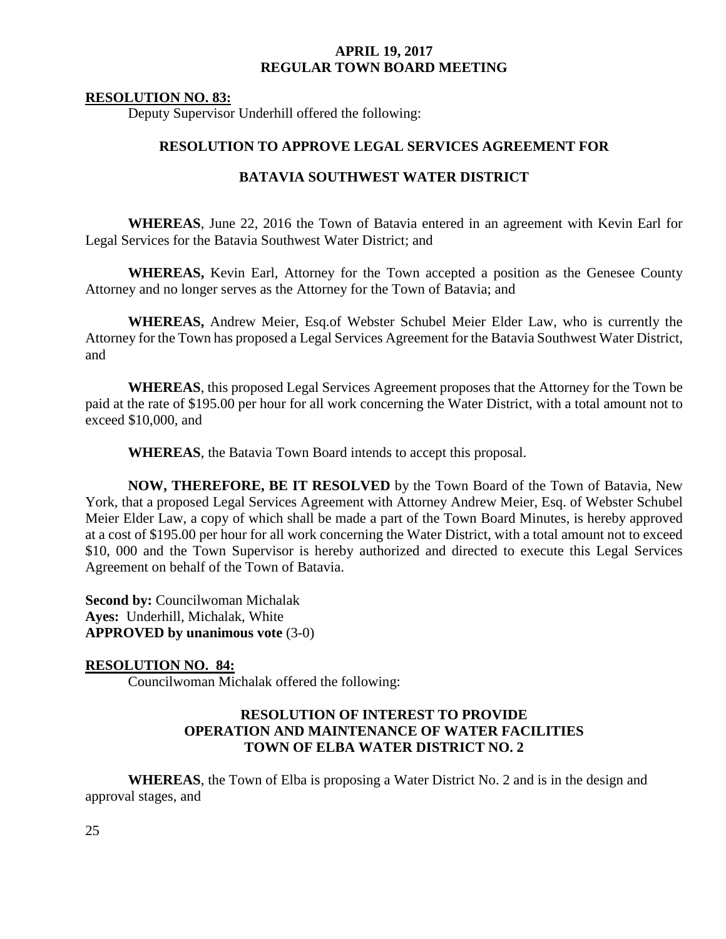#### **RESOLUTION NO. 83:**

Deputy Supervisor Underhill offered the following:

### **RESOLUTION TO APPROVE LEGAL SERVICES AGREEMENT FOR**

#### **BATAVIA SOUTHWEST WATER DISTRICT**

**WHEREAS**, June 22, 2016 the Town of Batavia entered in an agreement with Kevin Earl for Legal Services for the Batavia Southwest Water District; and

**WHEREAS,** Kevin Earl, Attorney for the Town accepted a position as the Genesee County Attorney and no longer serves as the Attorney for the Town of Batavia; and

**WHEREAS,** Andrew Meier, Esq.of Webster Schubel Meier Elder Law, who is currently the Attorney for the Town has proposed a Legal Services Agreement for the Batavia Southwest Water District, and

**WHEREAS**, this proposed Legal Services Agreement proposes that the Attorney for the Town be paid at the rate of \$195.00 per hour for all work concerning the Water District, with a total amount not to exceed \$10,000, and

**WHEREAS**, the Batavia Town Board intends to accept this proposal.

**NOW, THEREFORE, BE IT RESOLVED** by the Town Board of the Town of Batavia, New York, that a proposed Legal Services Agreement with Attorney Andrew Meier, Esq. of Webster Schubel Meier Elder Law, a copy of which shall be made a part of the Town Board Minutes, is hereby approved at a cost of \$195.00 per hour for all work concerning the Water District, with a total amount not to exceed \$10, 000 and the Town Supervisor is hereby authorized and directed to execute this Legal Services Agreement on behalf of the Town of Batavia.

**Second by:** Councilwoman Michalak **Ayes:** Underhill, Michalak, White **APPROVED by unanimous vote** (3-0)

### **RESOLUTION NO. 84:**

Councilwoman Michalak offered the following:

### **RESOLUTION OF INTEREST TO PROVIDE OPERATION AND MAINTENANCE OF WATER FACILITIES TOWN OF ELBA WATER DISTRICT NO. 2**

**WHEREAS**, the Town of Elba is proposing a Water District No. 2 and is in the design and approval stages, and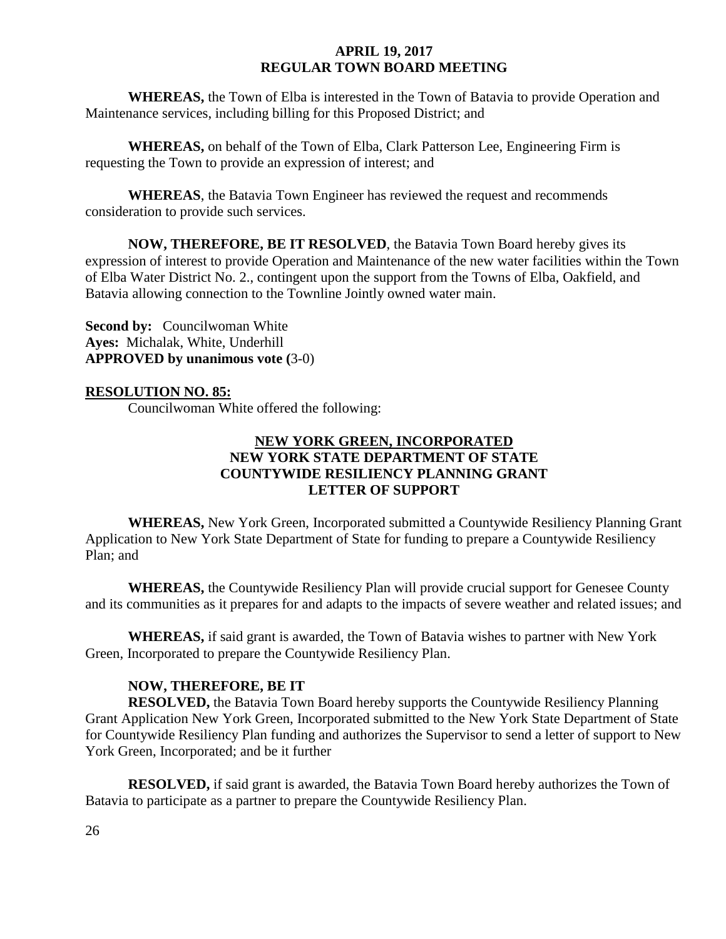**WHEREAS,** the Town of Elba is interested in the Town of Batavia to provide Operation and Maintenance services, including billing for this Proposed District; and

**WHEREAS,** on behalf of the Town of Elba, Clark Patterson Lee, Engineering Firm is requesting the Town to provide an expression of interest; and

**WHEREAS**, the Batavia Town Engineer has reviewed the request and recommends consideration to provide such services.

**NOW, THEREFORE, BE IT RESOLVED**, the Batavia Town Board hereby gives its expression of interest to provide Operation and Maintenance of the new water facilities within the Town of Elba Water District No. 2., contingent upon the support from the Towns of Elba, Oakfield, and Batavia allowing connection to the Townline Jointly owned water main.

**Second by:** Councilwoman White **Ayes:** Michalak, White, Underhill **APPROVED by unanimous vote (**3-0)

### **RESOLUTION NO. 85:**

Councilwoman White offered the following:

## **NEW YORK GREEN, INCORPORATED NEW YORK STATE DEPARTMENT OF STATE COUNTYWIDE RESILIENCY PLANNING GRANT LETTER OF SUPPORT**

**WHEREAS,** New York Green, Incorporated submitted a Countywide Resiliency Planning Grant Application to New York State Department of State for funding to prepare a Countywide Resiliency Plan; and

**WHEREAS,** the Countywide Resiliency Plan will provide crucial support for Genesee County and its communities as it prepares for and adapts to the impacts of severe weather and related issues; and

**WHEREAS,** if said grant is awarded, the Town of Batavia wishes to partner with New York Green, Incorporated to prepare the Countywide Resiliency Plan.

### **NOW, THEREFORE, BE IT**

**RESOLVED,** the Batavia Town Board hereby supports the Countywide Resiliency Planning Grant Application New York Green, Incorporated submitted to the New York State Department of State for Countywide Resiliency Plan funding and authorizes the Supervisor to send a letter of support to New York Green, Incorporated; and be it further

**RESOLVED,** if said grant is awarded, the Batavia Town Board hereby authorizes the Town of Batavia to participate as a partner to prepare the Countywide Resiliency Plan.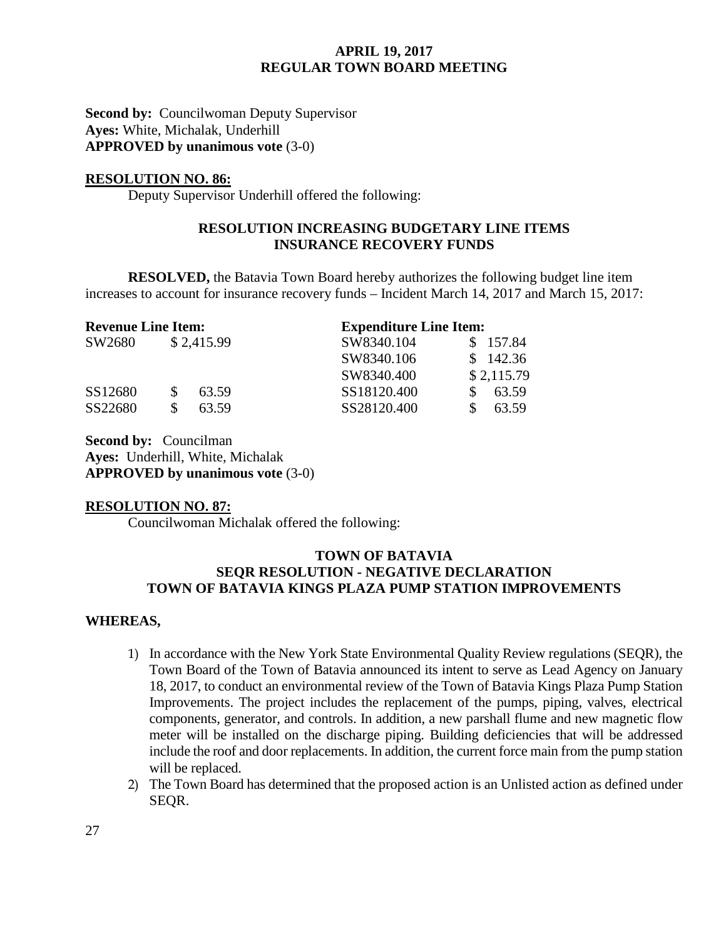**Second by: Councilwoman Deputy Supervisor Ayes:** White, Michalak, Underhill **APPROVED by unanimous vote** (3-0)

#### **RESOLUTION NO. 86:**

Deputy Supervisor Underhill offered the following:

### **RESOLUTION INCREASING BUDGETARY LINE ITEMS INSURANCE RECOVERY FUNDS**

**RESOLVED,** the Batavia Town Board hereby authorizes the following budget line item increases to account for insurance recovery funds – Incident March 14, 2017 and March 15, 2017:

| <b>Revenue Line Item:</b> |  |            | <b>Expenditure Line Item:</b> |  |            |
|---------------------------|--|------------|-------------------------------|--|------------|
| SW2680                    |  | \$2,415.99 | SW8340.104                    |  | \$157.84   |
|                           |  |            | SW8340.106                    |  | \$142.36   |
|                           |  |            | SW8340.400                    |  | \$2,115.79 |
| SS12680                   |  | 63.59      | SS18120.400                   |  | 63.59      |
| SS22680                   |  | 63.59      | SS28120.400                   |  | 63.59      |

**Second by: Councilman Ayes:** Underhill, White, Michalak **APPROVED by unanimous vote** (3-0)

### **RESOLUTION NO. 87:**

Councilwoman Michalak offered the following:

### **TOWN OF BATAVIA SEQR RESOLUTION - NEGATIVE DECLARATION TOWN OF BATAVIA KINGS PLAZA PUMP STATION IMPROVEMENTS**

### **WHEREAS,**

- 1) In accordance with the New York State Environmental Quality Review regulations (SEQR), the Town Board of the Town of Batavia announced its intent to serve as Lead Agency on January 18, 2017, to conduct an environmental review of the Town of Batavia Kings Plaza Pump Station Improvements. The project includes the replacement of the pumps, piping, valves, electrical components, generator, and controls. In addition, a new parshall flume and new magnetic flow meter will be installed on the discharge piping. Building deficiencies that will be addressed include the roof and door replacements. In addition, the current force main from the pump station will be replaced.
- 2) The Town Board has determined that the proposed action is an Unlisted action as defined under SEQR.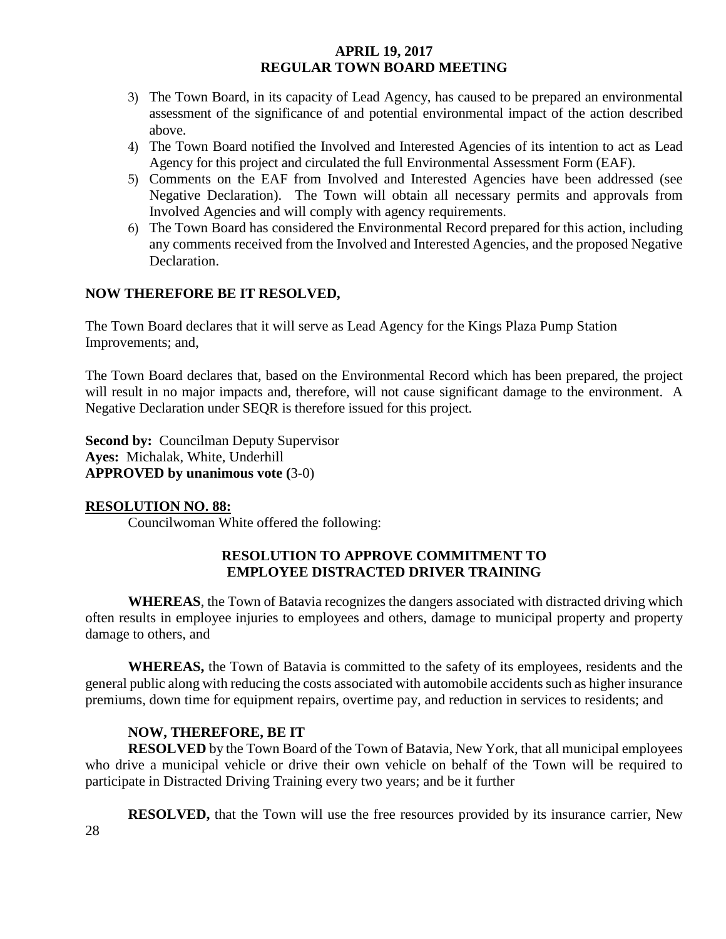- 3) The Town Board, in its capacity of Lead Agency, has caused to be prepared an environmental assessment of the significance of and potential environmental impact of the action described above.
- 4) The Town Board notified the Involved and Interested Agencies of its intention to act as Lead Agency for this project and circulated the full Environmental Assessment Form (EAF).
- 5) Comments on the EAF from Involved and Interested Agencies have been addressed (see Negative Declaration). The Town will obtain all necessary permits and approvals from Involved Agencies and will comply with agency requirements.
- 6) The Town Board has considered the Environmental Record prepared for this action, including any comments received from the Involved and Interested Agencies, and the proposed Negative Declaration.

## **NOW THEREFORE BE IT RESOLVED,**

The Town Board declares that it will serve as Lead Agency for the Kings Plaza Pump Station Improvements; and,

The Town Board declares that, based on the Environmental Record which has been prepared, the project will result in no major impacts and, therefore, will not cause significant damage to the environment. A Negative Declaration under SEQR is therefore issued for this project.

**Second by: Councilman Deputy Supervisor Ayes:** Michalak, White, Underhill **APPROVED by unanimous vote (**3-0)

## **RESOLUTION NO. 88:**

Councilwoman White offered the following:

## **RESOLUTION TO APPROVE COMMITMENT TO EMPLOYEE DISTRACTED DRIVER TRAINING**

**WHEREAS**, the Town of Batavia recognizes the dangers associated with distracted driving which often results in employee injuries to employees and others, damage to municipal property and property damage to others, and

**WHEREAS,** the Town of Batavia is committed to the safety of its employees, residents and the general public along with reducing the costs associated with automobile accidents such as higher insurance premiums, down time for equipment repairs, overtime pay, and reduction in services to residents; and

## **NOW, THEREFORE, BE IT**

**RESOLVED** by the Town Board of the Town of Batavia, New York, that all municipal employees who drive a municipal vehicle or drive their own vehicle on behalf of the Town will be required to participate in Distracted Driving Training every two years; and be it further

**RESOLVED,** that the Town will use the free resources provided by its insurance carrier, New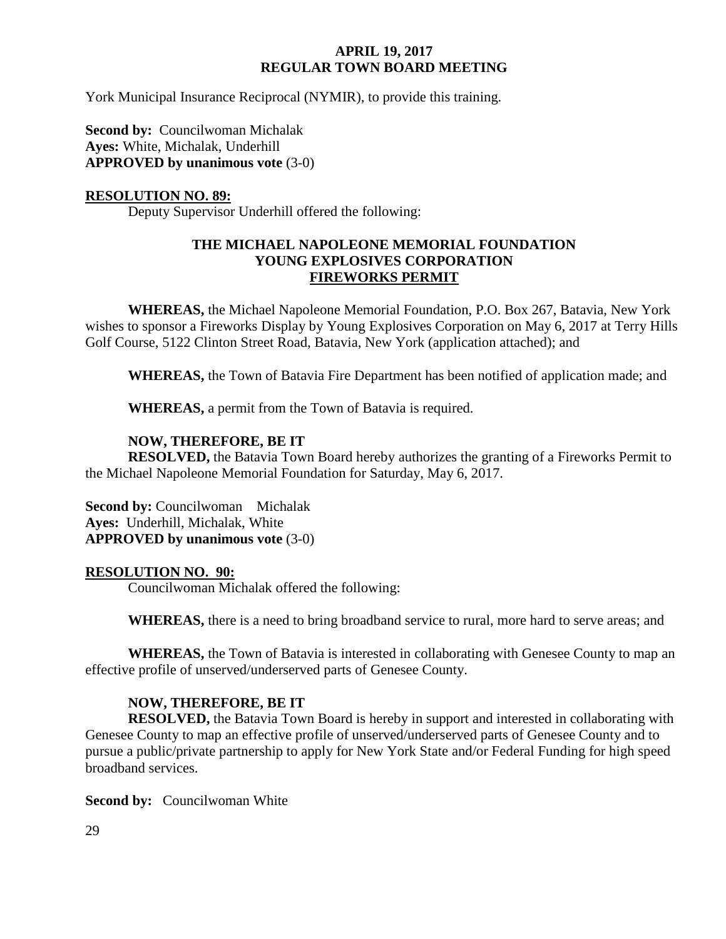York Municipal Insurance Reciprocal (NYMIR), to provide this training.

**Second by: Councilwoman Michalak Ayes:** White, Michalak, Underhill **APPROVED by unanimous vote** (3-0)

### **RESOLUTION NO. 89:**

Deputy Supervisor Underhill offered the following:

### **THE MICHAEL NAPOLEONE MEMORIAL FOUNDATION YOUNG EXPLOSIVES CORPORATION FIREWORKS PERMIT**

**WHEREAS,** the Michael Napoleone Memorial Foundation, P.O. Box 267, Batavia, New York wishes to sponsor a Fireworks Display by Young Explosives Corporation on May 6, 2017 at Terry Hills Golf Course, 5122 Clinton Street Road, Batavia, New York (application attached); and

**WHEREAS,** the Town of Batavia Fire Department has been notified of application made; and

**WHEREAS,** a permit from the Town of Batavia is required.

### **NOW, THEREFORE, BE IT**

**RESOLVED,** the Batavia Town Board hereby authorizes the granting of a Fireworks Permit to the Michael Napoleone Memorial Foundation for Saturday, May 6, 2017.

**Second by:** Councilwoman Michalak **Ayes:** Underhill, Michalak, White **APPROVED by unanimous vote** (3-0)

### **RESOLUTION NO. 90:**

Councilwoman Michalak offered the following:

**WHEREAS,** there is a need to bring broadband service to rural, more hard to serve areas; and

**WHEREAS,** the Town of Batavia is interested in collaborating with Genesee County to map an effective profile of unserved/underserved parts of Genesee County.

## **NOW, THEREFORE, BE IT**

**RESOLVED,** the Batavia Town Board is hereby in support and interested in collaborating with Genesee County to map an effective profile of unserved/underserved parts of Genesee County and to pursue a public/private partnership to apply for New York State and/or Federal Funding for high speed broadband services.

**Second by:** Councilwoman White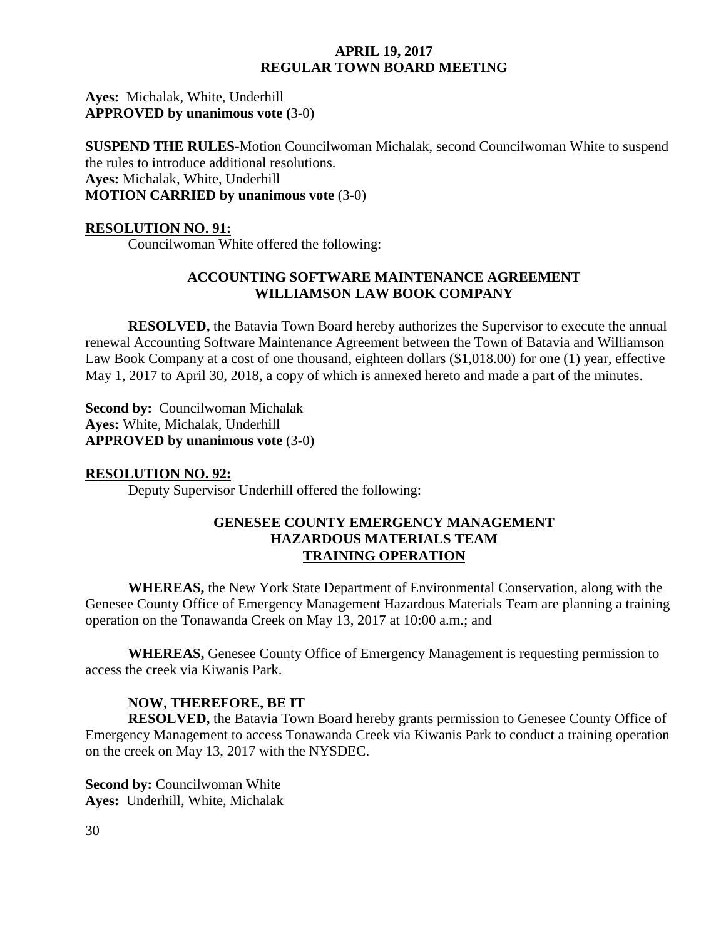**Ayes:** Michalak, White, Underhill **APPROVED by unanimous vote (**3-0)

**SUSPEND THE RULES**-Motion Councilwoman Michalak, second Councilwoman White to suspend the rules to introduce additional resolutions. **Ayes:** Michalak, White, Underhill **MOTION CARRIED by unanimous vote** (3-0)

#### **RESOLUTION NO. 91:**

Councilwoman White offered the following:

### **ACCOUNTING SOFTWARE MAINTENANCE AGREEMENT WILLIAMSON LAW BOOK COMPANY**

**RESOLVED,** the Batavia Town Board hereby authorizes the Supervisor to execute the annual renewal Accounting Software Maintenance Agreement between the Town of Batavia and Williamson Law Book Company at a cost of one thousand, eighteen dollars (\$1,018.00) for one (1) year, effective May 1, 2017 to April 30, 2018, a copy of which is annexed hereto and made a part of the minutes.

**Second by:** Councilwoman Michalak **Ayes:** White, Michalak, Underhill **APPROVED by unanimous vote** (3-0)

#### **RESOLUTION NO. 92:**

Deputy Supervisor Underhill offered the following:

### **GENESEE COUNTY EMERGENCY MANAGEMENT HAZARDOUS MATERIALS TEAM TRAINING OPERATION**

**WHEREAS,** the New York State Department of Environmental Conservation, along with the Genesee County Office of Emergency Management Hazardous Materials Team are planning a training operation on the Tonawanda Creek on May 13, 2017 at 10:00 a.m.; and

**WHEREAS,** Genesee County Office of Emergency Management is requesting permission to access the creek via Kiwanis Park.

### **NOW, THEREFORE, BE IT**

**RESOLVED,** the Batavia Town Board hereby grants permission to Genesee County Office of Emergency Management to access Tonawanda Creek via Kiwanis Park to conduct a training operation on the creek on May 13, 2017 with the NYSDEC.

**Second by:** Councilwoman White **Ayes:** Underhill, White, Michalak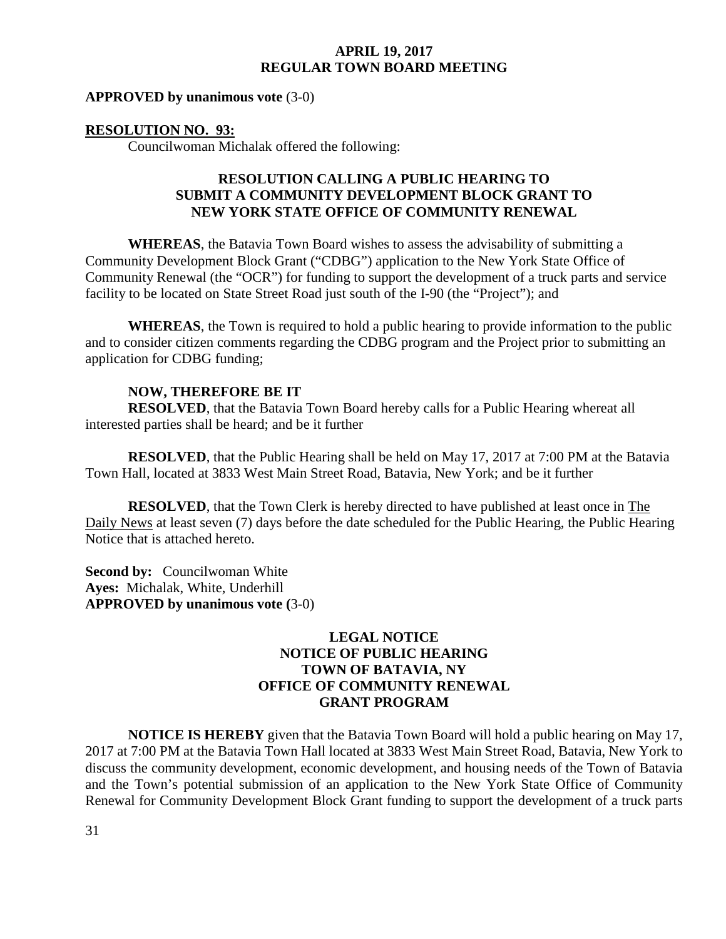#### **APPROVED by unanimous vote** (3-0)

#### **RESOLUTION NO. 93:**

Councilwoman Michalak offered the following:

### **RESOLUTION CALLING A PUBLIC HEARING TO SUBMIT A COMMUNITY DEVELOPMENT BLOCK GRANT TO NEW YORK STATE OFFICE OF COMMUNITY RENEWAL**

**WHEREAS**, the Batavia Town Board wishes to assess the advisability of submitting a Community Development Block Grant ("CDBG") application to the New York State Office of Community Renewal (the "OCR") for funding to support the development of a truck parts and service facility to be located on State Street Road just south of the I-90 (the "Project"); and

**WHEREAS**, the Town is required to hold a public hearing to provide information to the public and to consider citizen comments regarding the CDBG program and the Project prior to submitting an application for CDBG funding;

#### **NOW, THEREFORE BE IT**

**RESOLVED**, that the Batavia Town Board hereby calls for a Public Hearing whereat all interested parties shall be heard; and be it further

**RESOLVED**, that the Public Hearing shall be held on May 17, 2017 at 7:00 PM at the Batavia Town Hall, located at 3833 West Main Street Road, Batavia, New York; and be it further

**RESOLVED**, that the Town Clerk is hereby directed to have published at least once in The Daily News at least seven (7) days before the date scheduled for the Public Hearing, the Public Hearing Notice that is attached hereto.

**Second by:** Councilwoman White **Ayes:** Michalak, White, Underhill **APPROVED by unanimous vote (**3-0)

### **LEGAL NOTICE NOTICE OF PUBLIC HEARING TOWN OF BATAVIA, NY OFFICE OF COMMUNITY RENEWAL GRANT PROGRAM**

**NOTICE IS HEREBY** given that the Batavia Town Board will hold a public hearing on May 17, 2017 at 7:00 PM at the Batavia Town Hall located at 3833 West Main Street Road, Batavia, New York to discuss the community development, economic development, and housing needs of the Town of Batavia and the Town's potential submission of an application to the New York State Office of Community Renewal for Community Development Block Grant funding to support the development of a truck parts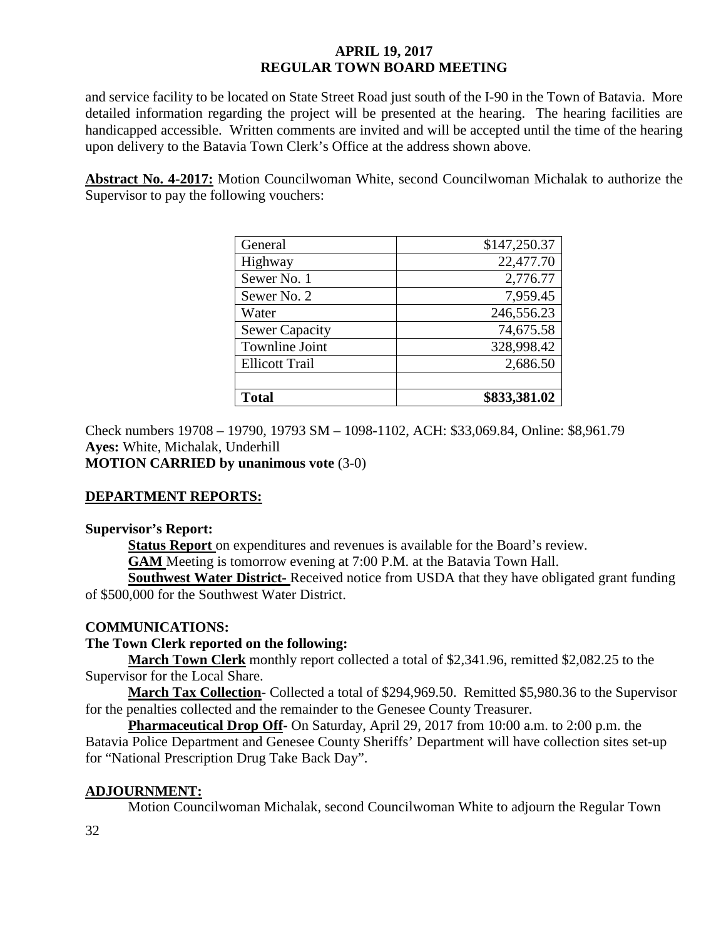and service facility to be located on State Street Road just south of the I-90 in the Town of Batavia. More detailed information regarding the project will be presented at the hearing. The hearing facilities are handicapped accessible. Written comments are invited and will be accepted until the time of the hearing upon delivery to the Batavia Town Clerk's Office at the address shown above.

**Abstract No. 4-2017:** Motion Councilwoman White, second Councilwoman Michalak to authorize the Supervisor to pay the following vouchers:

| General               | \$147,250.37 |
|-----------------------|--------------|
| Highway               | 22,477.70    |
| Sewer No. 1           | 2,776.77     |
| Sewer No. 2           | 7,959.45     |
| Water                 | 246,556.23   |
| <b>Sewer Capacity</b> | 74,675.58    |
| <b>Townline Joint</b> | 328,998.42   |
| <b>Ellicott Trail</b> | 2,686.50     |
|                       |              |
| <b>Total</b>          | \$833,381.02 |

Check numbers 19708 – 19790, 19793 SM – 1098-1102, ACH: \$33,069.84, Online: \$8,961.79 **Ayes:** White, Michalak, Underhill

**MOTION CARRIED by unanimous vote** (3-0)

### **DEPARTMENT REPORTS:**

### **Supervisor's Report:**

**Status Report** on expenditures and revenues is available for the Board's review.

**GAM** Meeting is tomorrow evening at 7:00 P.M. at the Batavia Town Hall.

**Southwest Water District-** Received notice from USDA that they have obligated grant funding of \$500,000 for the Southwest Water District.

### **COMMUNICATIONS:**

### **The Town Clerk reported on the following:**

**March Town Clerk** monthly report collected a total of \$2,341.96, remitted \$2,082.25 to the Supervisor for the Local Share.

**March Tax Collection**- Collected a total of \$294,969.50. Remitted \$5,980.36 to the Supervisor for the penalties collected and the remainder to the Genesee County Treasurer.

**Pharmaceutical Drop Off-** On Saturday, April 29, 2017 from 10:00 a.m. to 2:00 p.m. the Batavia Police Department and Genesee County Sheriffs' Department will have collection sites set-up for "National Prescription Drug Take Back Day".

### **ADJOURNMENT:**

Motion Councilwoman Michalak, second Councilwoman White to adjourn the Regular Town